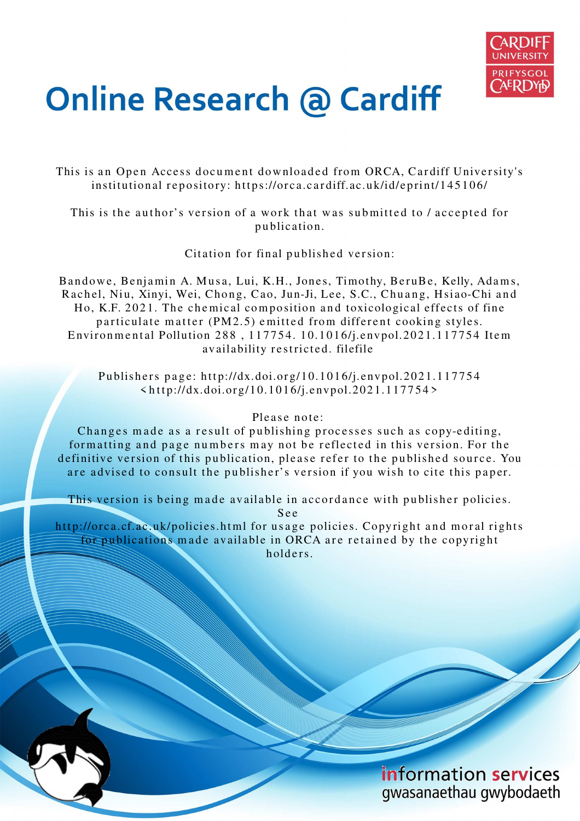

# **Online Research @ Cardiff**

This is an Open Access document downloaded from ORCA, Cardiff University's institutional repository: https://orca.cardiff.ac.uk/id/eprint/145106/

This is the author's version of a work that was submitted to / accepted for p u blication.

Citation for final published version:

Bandowe, Benjamin A. Musa, Lui, K.H., Jones, Timothy, BeruBe, Kelly, Adams, Rachel, Niu, Xinyi, Wei, Chong, Cao, Jun-Ji, Lee, S.C., Chuang, Hsiao-Chi and Ho, K.F. 2021. The chemical composition and toxicological effects of fine particulate matter (PM2.5) emitted from different cooking styles. Environmental Pollution 288, 117754. 10.1016/j.envpol.2021.117754 Item availability restricted. filefile

Publishers page: http://dx.doi.org/10.1016/j.envpol.2021.117754  $\langle \text{http://dx.doi.org/10.1016/j_envpol.2021.117754>}$ 

## Please note:

Changes made as a result of publishing processes such as copy-editing, formatting and page numbers may not be reflected in this version. For the definitive version of this publication, please refer to the published source. You are advised to consult the publisher's version if you wish to cite this paper.

This version is being made available in accordance with publisher policies. S e e

http://orca.cf.ac.uk/policies.html for usage policies. Copyright and moral rights for publications made available in ORCA are retained by the copyright holders.

> information services gwasanaethau gwybodaeth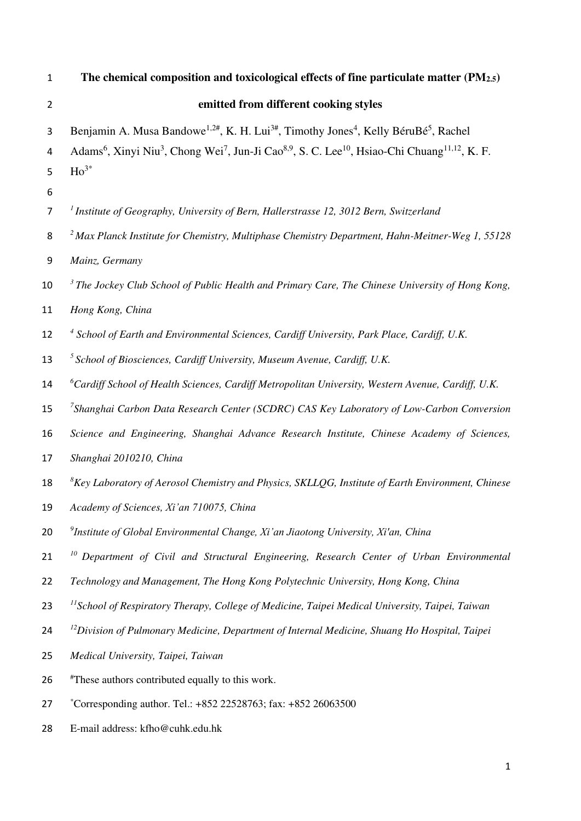| $\mathbf{1}$     | The chemical composition and toxicological effects of fine particulate matter (PM2.5)                                                                                                                                                                                                                                       |
|------------------|-----------------------------------------------------------------------------------------------------------------------------------------------------------------------------------------------------------------------------------------------------------------------------------------------------------------------------|
| $\overline{2}$   | emitted from different cooking styles                                                                                                                                                                                                                                                                                       |
| 3<br>4<br>5<br>6 | Benjamin A. Musa Bandowe <sup>1,2#</sup> , K. H. Lui <sup>3#</sup> , Timothy Jones <sup>4</sup> , Kelly BéruBé <sup>5</sup> , Rachel<br>Adams <sup>6</sup> , Xinyi Niu <sup>3</sup> , Chong Wei <sup>7</sup> , Jun-Ji Cao <sup>8,9</sup> , S. C. Lee <sup>10</sup> , Hsiao-Chi Chuang <sup>11,12</sup> , K. F.<br>$Ho^{3*}$ |
| $\overline{7}$   | <sup>1</sup> Institute of Geography, University of Bern, Hallerstrasse 12, 3012 Bern, Switzerland                                                                                                                                                                                                                           |
| 8                | <sup>2</sup> Max Planck Institute for Chemistry, Multiphase Chemistry Department, Hahn-Meitner-Weg 1, 55128                                                                                                                                                                                                                 |
| 9                | Mainz, Germany                                                                                                                                                                                                                                                                                                              |
| 10               | $3$ The Jockey Club School of Public Health and Primary Care, The Chinese University of Hong Kong,                                                                                                                                                                                                                          |
| 11               | Hong Kong, China                                                                                                                                                                                                                                                                                                            |
| 12               | <sup>4</sup> School of Earth and Environmental Sciences, Cardiff University, Park Place, Cardiff, U.K.                                                                                                                                                                                                                      |
| 13               | $5$ School of Biosciences, Cardiff University, Museum Avenue, Cardiff, U.K.                                                                                                                                                                                                                                                 |
| 14               | ${}^6$ Cardiff School of Health Sciences, Cardiff Metropolitan University, Western Avenue, Cardiff, U.K.                                                                                                                                                                                                                    |
| 15               | <sup>7</sup> Shanghai Carbon Data Research Center (SCDRC) CAS Key Laboratory of Low-Carbon Conversion                                                                                                                                                                                                                       |
| 16               | Science and Engineering, Shanghai Advance Research Institute, Chinese Academy of Sciences,                                                                                                                                                                                                                                  |
| 17               | Shanghai 2010210, China                                                                                                                                                                                                                                                                                                     |
| 18               | ${}^{8}$ Key Laboratory of Aerosol Chemistry and Physics, SKLLQG, Institute of Earth Environment, Chinese                                                                                                                                                                                                                   |
| 19               | Academy of Sciences, Xi'an 710075, China                                                                                                                                                                                                                                                                                    |
| 20               | <sup>9</sup> Institute of Global Environmental Change, Xi'an Jiaotong University, Xi'an, China                                                                                                                                                                                                                              |
| 21               | <sup>10</sup> Department of Civil and Structural Engineering, Research Center of Urban Environmental                                                                                                                                                                                                                        |
| 22               | Technology and Management, The Hong Kong Polytechnic University, Hong Kong, China                                                                                                                                                                                                                                           |
| 23               | <sup>11</sup> School of Respiratory Therapy, College of Medicine, Taipei Medical University, Taipei, Taiwan                                                                                                                                                                                                                 |
| 24               | <sup>12</sup> Division of Pulmonary Medicine, Department of Internal Medicine, Shuang Ho Hospital, Taipei                                                                                                                                                                                                                   |
| 25               | Medical University, Taipei, Taiwan                                                                                                                                                                                                                                                                                          |
| 26               | "These authors contributed equally to this work.                                                                                                                                                                                                                                                                            |
| 27               | *Corresponding author. Tel.: +852 22528763; fax: +852 26063500                                                                                                                                                                                                                                                              |
| 28               | E-mail address: kfho@cuhk.edu.hk                                                                                                                                                                                                                                                                                            |
|                  |                                                                                                                                                                                                                                                                                                                             |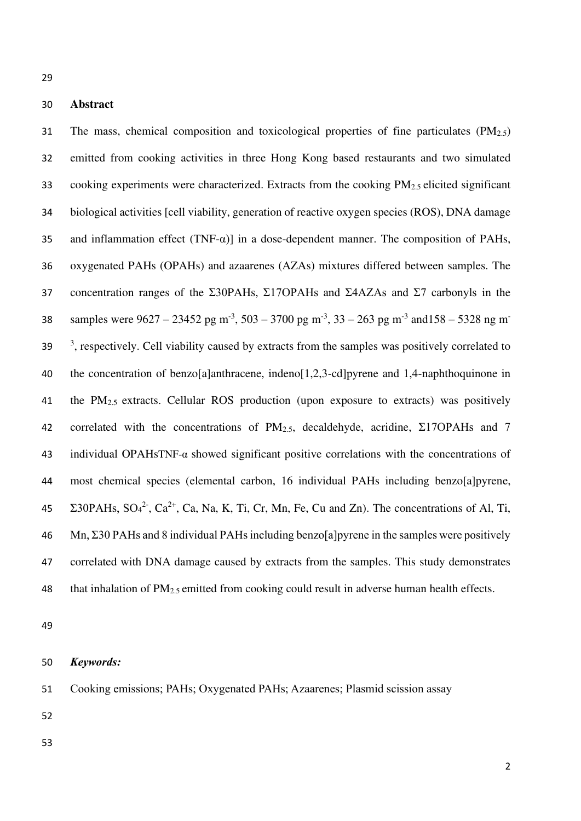# **Abstract**

31 The mass, chemical composition and toxicological properties of fine particulates  $(PM_{2.5})$  emitted from cooking activities in three Hong Kong based restaurants and two simulated 33 cooking experiments were characterized. Extracts from the cooking PM<sub>2.5</sub> elicited significant biological activities [cell viability, generation of reactive oxygen species (ROS), DNA damage 35 and inflammation effect  $(TNF-\alpha)$  in a dose-dependent manner. The composition of PAHs, oxygenated PAHs (OPAHs) and azaarenes (AZAs) mixtures differed between samples. The 37 concentration ranges of the Σ30PAHs, Σ17OPAHs and Σ4AZAs and Σ7 carbonyls in the samples were  $9627 - 23452$  pg m<sup>-3</sup>,  $503 - 3700$  pg m<sup>-3</sup>,  $33 - 263$  pg m<sup>-3</sup> and  $158 - 5328$  ng m<sup>-1</sup>  $39<sup>3</sup>$ , respectively. Cell viability caused by extracts from the samples was positively correlated to the concentration of benzo[a]anthracene, indeno[1,2,3-cd]pyrene and 1,4-naphthoquinone in 41 the PM<sub>2.5</sub> extracts. Cellular ROS production (upon exposure to extracts) was positively 42 correlated with the concentrations of  $PM_{2.5}$ , decaldehyde, acridine, Σ17OPAHs and 7 individual OPAHsTNF-α showed significant positive correlations with the concentrations of most chemical species (elemental carbon, 16 individual PAHs including benzo[a]pyrene, 45  $\Sigma$ 30PAHs, SO<sub>4</sub><sup>2-</sup>, Ca<sup>2+</sup>, Ca, Na, K, Ti, Cr, Mn, Fe, Cu and Zn). The concentrations of Al, Ti, Mn, Σ30 PAHs and 8 individual PAHs including benzo[a]pyrene in the samples were positively correlated with DNA damage caused by extracts from the samples. This study demonstrates 48 that inhalation of  $PM_{2.5}$  emitted from cooking could result in adverse human health effects.

#### *Keywords:*

- Cooking emissions; PAHs; Oxygenated PAHs; Azaarenes; Plasmid scission assay
- 
-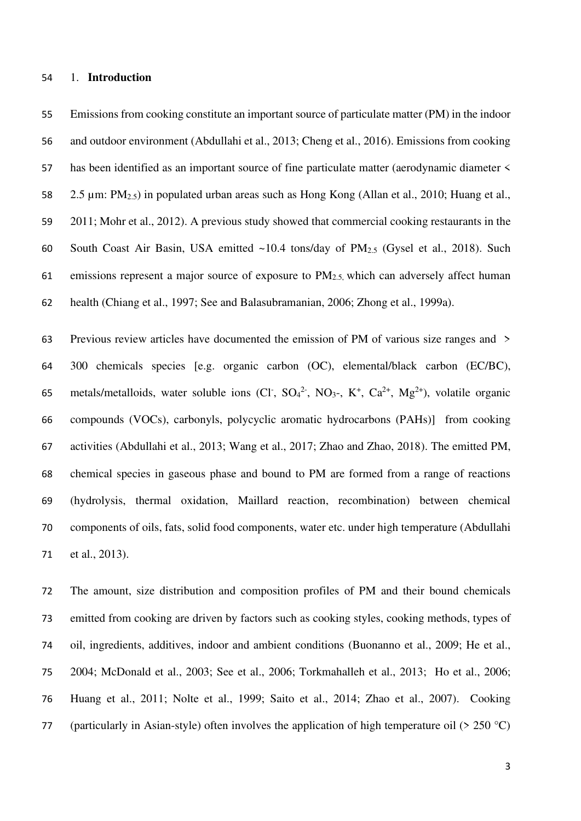#### 1. **Introduction**

 Emissions from cooking constitute an important source of particulate matter (PM) in the indoor and outdoor environment (Abdullahi et al., 2013; Cheng et al., 2016). Emissions from cooking has been identified as an important source of fine particulate matter (aerodynamic diameter < 2.5 µm: PM2.5) in populated urban areas such as Hong Kong (Allan et al., 2010; Huang et al., 2011; Mohr et al., 2012). A previous study showed that commercial cooking restaurants in the 60 South Coast Air Basin, USA emitted  $\sim$ 10.4 tons/day of PM<sub>2.5</sub> (Gysel et al., 2018). Such 61 emissions represent a major source of exposure to  $PM<sub>2.5</sub>$  which can adversely affect human health (Chiang et al., 1997; See and Balasubramanian, 2006; Zhong et al., 1999a).

 Previous review articles have documented the emission of PM of various size ranges and > 300 chemicals species [e.g. organic carbon (OC), elemental/black carbon (EC/BC), 65 metals/metalloids, water soluble ions (Cl<sup>-</sup>, SO<sub>4</sub><sup>2-</sup>, NO<sub>3</sub>-, K<sup>+</sup>, Ca<sup>2+</sup>, Mg<sup>2+</sup>), volatile organic compounds (VOCs), carbonyls, polycyclic aromatic hydrocarbons (PAHs)] from cooking activities (Abdullahi et al., 2013; Wang et al., 2017; Zhao and Zhao, 2018). The emitted PM, chemical species in gaseous phase and bound to PM are formed from a range of reactions (hydrolysis, thermal oxidation, Maillard reaction, recombination) between chemical components of oils, fats, solid food components, water etc. under high temperature (Abdullahi et al., 2013).

 The amount, size distribution and composition profiles of PM and their bound chemicals emitted from cooking are driven by factors such as cooking styles, cooking methods, types of oil, ingredients, additives, indoor and ambient conditions (Buonanno et al., 2009; He et al., 2004; McDonald et al., 2003; See et al., 2006; Torkmahalleh et al., 2013; Ho et al., 2006; Huang et al., 2011; Nolte et al., 1999; Saito et al., 2014; Zhao et al., 2007). Cooking 77 (particularly in Asian-style) often involves the application of high temperature oil ( $> 250$  °C)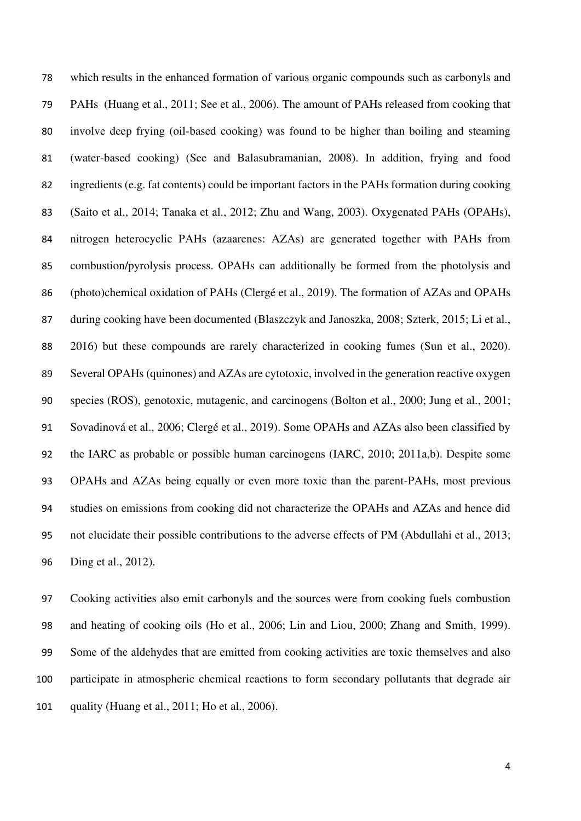which results in the enhanced formation of various organic compounds such as carbonyls and PAHs (Huang et al., 2011; See et al., 2006). The amount of PAHs released from cooking that involve deep frying (oil-based cooking) was found to be higher than boiling and steaming (water-based cooking) (See and Balasubramanian, 2008). In addition, frying and food ingredients (e.g. fat contents) could be important factors in the PAHs formation during cooking (Saito et al., 2014; Tanaka et al., 2012; Zhu and Wang, 2003). Oxygenated PAHs (OPAHs), nitrogen heterocyclic PAHs (azaarenes: AZAs) are generated together with PAHs from combustion/pyrolysis process. OPAHs can additionally be formed from the photolysis and (photo)chemical oxidation of PAHs (Clergé et al., 2019). The formation of AZAs and OPAHs 87 during cooking have been documented (Blaszczyk and Janoszka, 2008; Szterk, 2015; Li et al., 2016) but these compounds are rarely characterized in cooking fumes (Sun et al., 2020). Several OPAHs (quinones) and AZAs are cytotoxic, involved in the generation reactive oxygen species (ROS), genotoxic, mutagenic, and carcinogens (Bolton et al., 2000; Jung et al., 2001; Sovadinová et al., 2006; Clergé et al., 2019). Some OPAHs and AZAs also been classified by the IARC as probable or possible human carcinogens (IARC, 2010; 2011a,b). Despite some OPAHs and AZAs being equally or even more toxic than the parent-PAHs, most previous studies on emissions from cooking did not characterize the OPAHs and AZAs and hence did not elucidate their possible contributions to the adverse effects of PM (Abdullahi et al., 2013; Ding et al., 2012).

 Cooking activities also emit carbonyls and the sources were from cooking fuels combustion and heating of cooking oils (Ho et al., 2006; Lin and Liou, 2000; Zhang and Smith, 1999). Some of the aldehydes that are emitted from cooking activities are toxic themselves and also participate in atmospheric chemical reactions to form secondary pollutants that degrade air quality (Huang et al., 2011; Ho et al., 2006).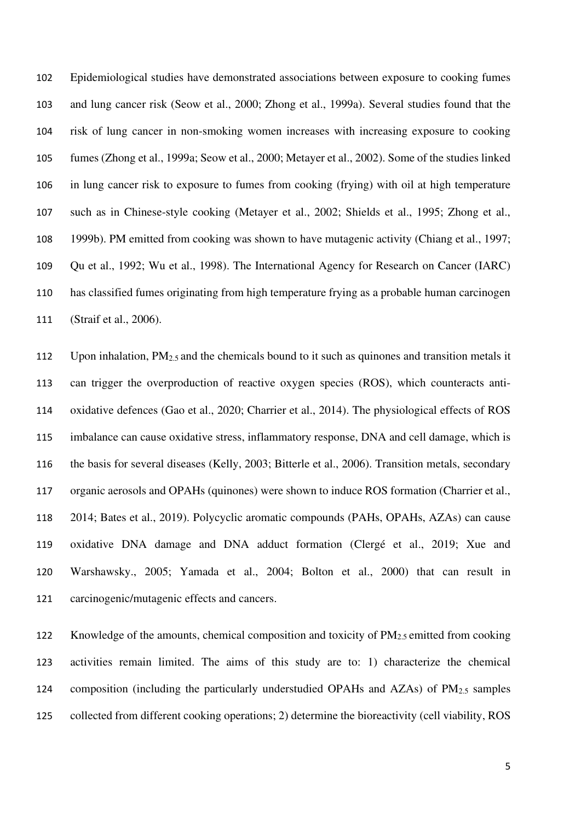Epidemiological studies have demonstrated associations between exposure to cooking fumes and lung cancer risk (Seow et al., 2000; Zhong et al., 1999a). Several studies found that the risk of lung cancer in non-smoking women increases with increasing exposure to cooking fumes (Zhong et al., 1999a; Seow et al., 2000; Metayer et al., 2002). Some of the studies linked in lung cancer risk to exposure to fumes from cooking (frying) with oil at high temperature such as in Chinese-style cooking (Metayer et al., 2002; Shields et al., 1995; Zhong et al., 1999b). PM emitted from cooking was shown to have mutagenic activity (Chiang et al., 1997; Qu et al., 1992; Wu et al., 1998). The International Agency for Research on Cancer (IARC) has classified fumes originating from high temperature frying as a probable human carcinogen (Straif et al., 2006).

 Upon inhalation, PM2.5 and the chemicals bound to it such as quinones and transition metals it can trigger the overproduction of reactive oxygen species (ROS), which counteracts anti- oxidative defences (Gao et al., 2020; Charrier et al., 2014). The physiological effects of ROS imbalance can cause oxidative stress, inflammatory response, DNA and cell damage, which is the basis for several diseases (Kelly, 2003; Bitterle et al., 2006). Transition metals, secondary organic aerosols and OPAHs (quinones) were shown to induce ROS formation (Charrier et al., 2014; Bates et al., 2019). Polycyclic aromatic compounds (PAHs, OPAHs, AZAs) can cause oxidative DNA damage and DNA adduct formation (Clergé et al., 2019; Xue and Warshawsky., 2005; Yamada et al., 2004; Bolton et al., 2000) that can result in carcinogenic/mutagenic effects and cancers.

122 Knowledge of the amounts, chemical composition and toxicity of PM<sub>2.5</sub> emitted from cooking activities remain limited. The aims of this study are to: 1) characterize the chemical 124 composition (including the particularly understudied OPAHs and AZAs) of  $PM<sub>2.5</sub>$  samples collected from different cooking operations; 2) determine the bioreactivity (cell viability, ROS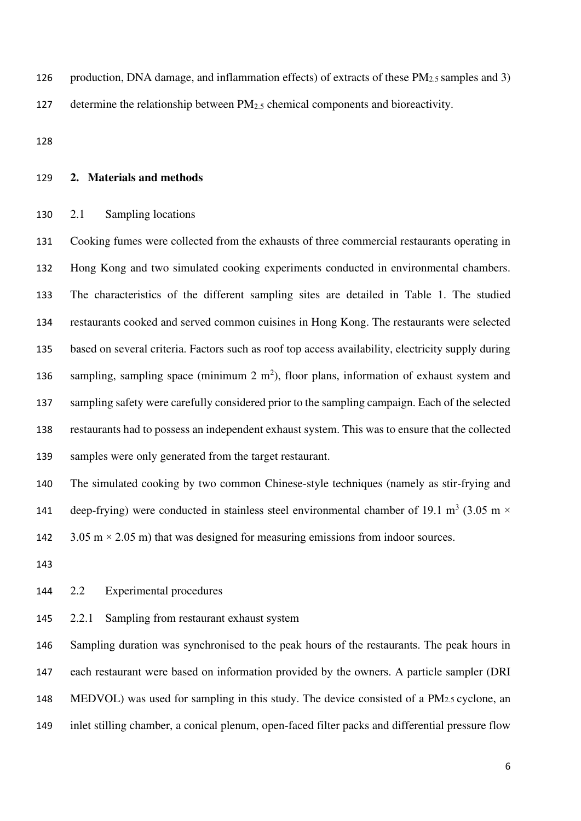126 production, DNA damage, and inflammation effects) of extracts of these  $PM_{2.5}$  samples and 3)

127 determine the relationship between PM<sub>2.5</sub> chemical components and bioreactivity.

## **2. Materials and methods**

#### 2.1 Sampling locations

 Cooking fumes were collected from the exhausts of three commercial restaurants operating in Hong Kong and two simulated cooking experiments conducted in environmental chambers. The characteristics of the different sampling sites are detailed in Table 1. The studied restaurants cooked and served common cuisines in Hong Kong. The restaurants were selected based on several criteria. Factors such as roof top access availability, electricity supply during 136 sampling, sampling space (minimum  $2 \text{ m}^2$ ), floor plans, information of exhaust system and sampling safety were carefully considered prior to the sampling campaign. Each of the selected restaurants had to possess an independent exhaust system. This was to ensure that the collected samples were only generated from the target restaurant.

 The simulated cooking by two common Chinese-style techniques (namely as stir-frying and 141 deep-frying) were conducted in stainless steel environmental chamber of 19.1 m<sup>3</sup> (3.05 m  $\times$ 142  $3.05 \text{ m} \times 2.05 \text{ m}$ ) that was designed for measuring emissions from indoor sources.

#### 2.2 Experimental procedures

2.2.1 Sampling from restaurant exhaust system

146 Sampling duration was synchronised to the peak hours of the restaurants. The peak hours in each restaurant were based on information provided by the owners. A particle sampler (DRI MEDVOL) was used for sampling in this study. The device consisted of a PM2.5 cyclone, an inlet stilling chamber, a conical plenum, open-faced filter packs and differential pressure flow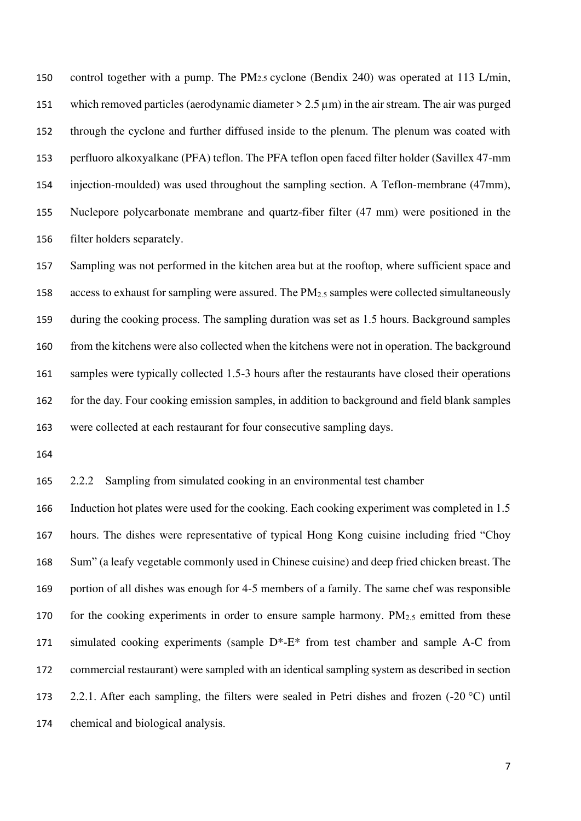control together with a pump. The PM2.5 cyclone (Bendix 240) was operated at 113 L/min, which removed particles (aerodynamic diameter > 2.5 µm) in the air stream. The air was purged through the cyclone and further diffused inside to the plenum. The plenum was coated with perfluoro alkoxyalkane (PFA) teflon. The PFA teflon open faced filter holder (Savillex 47-mm injection-moulded) was used throughout the sampling section. A Teflon-membrane (47mm), Nuclepore polycarbonate membrane and quartz-fiber filter (47 mm) were positioned in the filter holders separately.

 Sampling was not performed in the kitchen area but at the rooftop, where sufficient space and 158 access to exhaust for sampling were assured. The  $PM_{2.5}$  samples were collected simultaneously during the cooking process. The sampling duration was set as 1.5 hours. Background samples from the kitchens were also collected when the kitchens were not in operation. The background 161 samples were typically collected 1.5-3 hours after the restaurants have closed their operations for the day. Four cooking emission samples, in addition to background and field blank samples were collected at each restaurant for four consecutive sampling days.

2.2.2 Sampling from simulated cooking in an environmental test chamber

 Induction hot plates were used for the cooking. Each cooking experiment was completed in 1.5 hours. The dishes were representative of typical Hong Kong cuisine including fried "Choy Sum" (a leafy vegetable commonly used in Chinese cuisine) and deep fried chicken breast. The portion of all dishes was enough for 4-5 members of a family. The same chef was responsible 170 for the cooking experiments in order to ensure sample harmony.  $PM_{2.5}$  emitted from these simulated cooking experiments (sample D\*-E\* from test chamber and sample A-C from commercial restaurant) were sampled with an identical sampling system as described in section 2.2.1. After each sampling, the filters were sealed in Petri dishes and frozen (-20 °C) until chemical and biological analysis.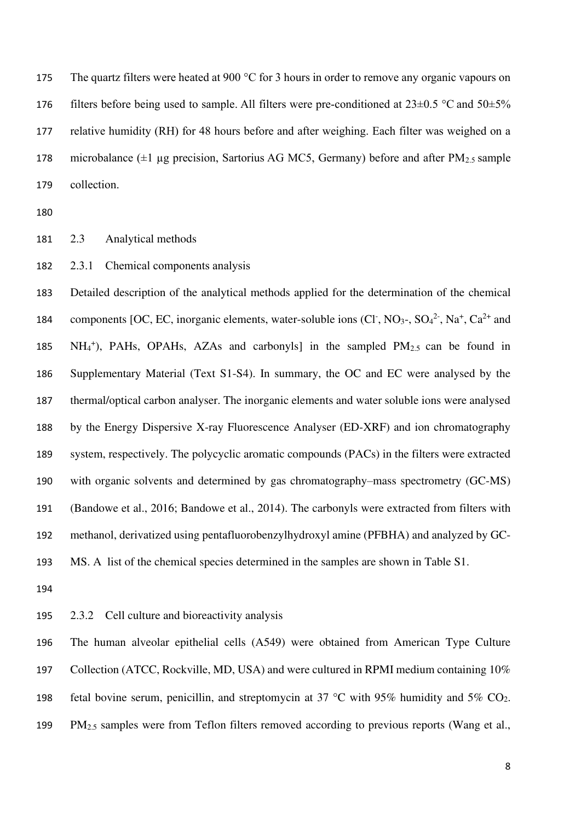175 The quartz filters were heated at 900 °C for 3 hours in order to remove any organic vapours on 176 filters before being used to sample. All filters were pre-conditioned at  $23\pm0.5$  °C and  $50\pm5\%$  relative humidity (RH) for 48 hours before and after weighing. Each filter was weighed on a 178 microbalance  $(\pm 1 \mu g)$  precision, Sartorius AG MC5, Germany) before and after PM<sub>2.5</sub> sample collection.

2.3 Analytical methods

2.3.1 Chemical components analysis

 Detailed description of the analytical methods applied for the determination of the chemical 184 components [OC, EC, inorganic elements, water-soluble ions (Cl<sup>-</sup>, NO<sub>3</sub>-, SO<sub>4</sub><sup>2-</sup>, Na<sup>+</sup>, Ca<sup>2+</sup> and  $NH_4^+$ ), PAHs, OPAHs, AZAs and carbonyls] in the sampled PM<sub>2.5</sub> can be found in Supplementary Material (Text S1-S4). In summary, the OC and EC were analysed by the thermal/optical carbon analyser. The inorganic elements and water soluble ions were analysed by the Energy Dispersive X-ray Fluorescence Analyser (ED-XRF) and ion chromatography system, respectively. The polycyclic aromatic compounds (PACs) in the filters were extracted with organic solvents and determined by gas chromatography–mass spectrometry (GC-MS) (Bandowe et al., 2016; Bandowe et al., 2014). The carbonyls were extracted from filters with methanol, derivatized using pentafluorobenzylhydroxyl amine (PFBHA) and analyzed by GC-MS. A list of the chemical species determined in the samples are shown in Table S1.

2.3.2 Cell culture and bioreactivity analysis

 The human alveolar epithelial cells (A549) were obtained from American Type Culture Collection (ATCC, Rockville, MD, USA) and were cultured in RPMI medium containing 10% 198 fetal bovine serum, penicillin, and streptomycin at 37  $\degree$ C with 95% humidity and 5% CO<sub>2</sub>. 199 PM<sub>2.5</sub> samples were from Teflon filters removed according to previous reports (Wang et al.,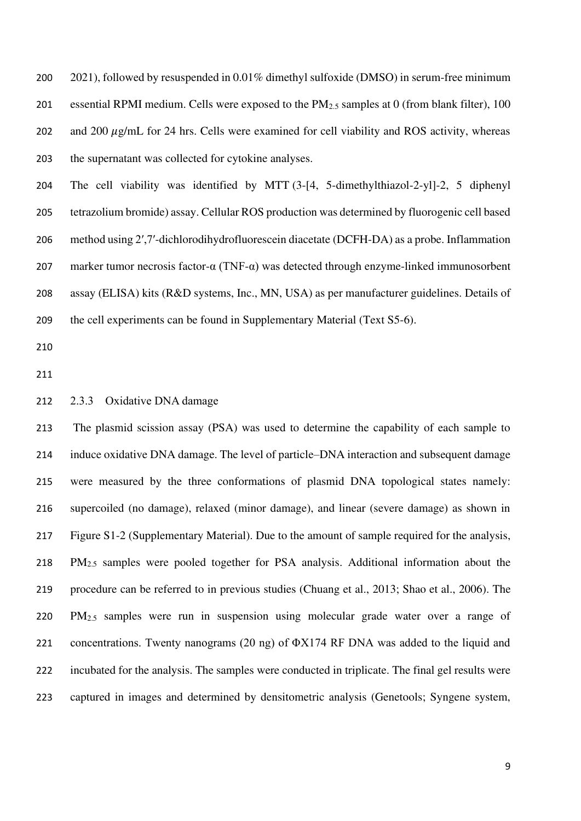2021), followed by resuspended in 0.01% dimethyl sulfoxide (DMSO) in serum-free minimum essential RPMI medium. Cells were exposed to the PM2.5 samples at 0 (from blank filter), 100 202 and 200  $\mu$ g/mL for 24 hrs. Cells were examined for cell viability and ROS activity, whereas the supernatant was collected for cytokine analyses.

 The cell viability was identified by MTT (3-[4, 5-dimethylthiazol-2-yl]-2, 5 diphenyl tetrazolium bromide) assay. Cellular ROS production was determined by fluorogenic cell based method using 2′,7′-dichlorodihydrofluorescein diacetate (DCFH-DA) as a probe. Inflammation marker tumor necrosis factor-α (TNF-α) was detected through enzyme-linked immunosorbent assay (ELISA) kits (R&D systems, Inc., MN, USA) as per manufacturer guidelines. Details of the cell experiments can be found in Supplementary Material (Text S5-6).

#### 2.3.3 Oxidative DNA damage

 The plasmid scission assay (PSA) was used to determine the capability of each sample to induce oxidative DNA damage. The level of particle–DNA interaction and subsequent damage were measured by the three conformations of plasmid DNA topological states namely: supercoiled (no damage), relaxed (minor damage), and linear (severe damage) as shown in Figure S1-2 (Supplementary Material). Due to the amount of sample required for the analysis, PM2.5 samples were pooled together for PSA analysis. Additional information about the procedure can be referred to in previous studies (Chuang et al., 2013; Shao et al., 2006). The PM2.5 samples were run in suspension using molecular grade water over a range of concentrations. Twenty nanograms (20 ng) of ΦX174 RF DNA was added to the liquid and incubated for the analysis. The samples were conducted in triplicate. The final gel results were captured in images and determined by densitometric analysis (Genetools; Syngene system,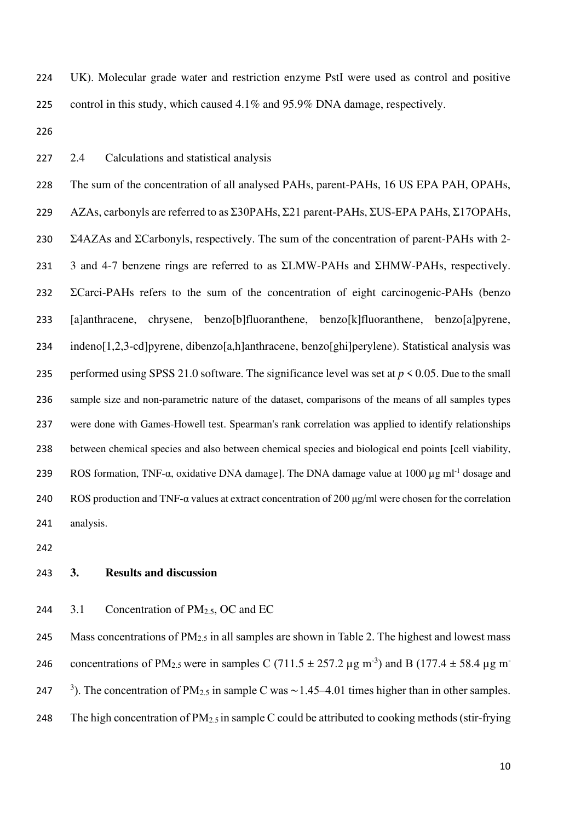UK). Molecular grade water and restriction enzyme PstI were used as control and positive control in this study, which caused 4.1% and 95.9% DNA damage, respectively.

2.4 Calculations and statistical analysis

 The sum of the concentration of all analysed PAHs, parent-PAHs, 16 US EPA PAH, OPAHs, AZAs, carbonyls are referred to as Σ30PAHs, Σ21 parent-PAHs, ΣUS-EPA PAHs, Σ17OPAHs, Σ4AZAs and ΣCarbonyls, respectively. The sum of the concentration of parent-PAHs with 2- 3 and 4-7 benzene rings are referred to as ΣLMW-PAHs and ΣHMW-PAHs, respectively. ΣCarci-PAHs refers to the sum of the concentration of eight carcinogenic-PAHs (benzo [a]anthracene, chrysene, benzo[b]fluoranthene, benzo[k]fluoranthene, benzo[a]pyrene, indeno[1,2,3-cd]pyrene, dibenzo[a,h]anthracene, benzo[ghi]perylene). Statistical analysis was 235 performed using SPSS 21.0 software. The significance level was set at  $p \le 0.05$ . Due to the small sample size and non-parametric nature of the dataset, comparisons of the means of all samples types were done with Games-Howell test. Spearman's rank correlation was applied to identify relationships between chemical species and also between chemical species and biological end points [cell viability, ROS formation, TNF-α, oxidative DNA damage]. The DNA damage value at 1000  $\mu$ g ml<sup>-1</sup> dosage and ROS production and TNF-α values at extract concentration of 200 μg/ml were chosen for the correlation analysis.

## **3. Results and discussion**

#### 244  $3.1$  Concentration of PM<sub>2.5</sub>, OC and EC

245 Mass concentrations of  $PM_{2.5}$  in all samples are shown in Table 2. The highest and lowest mass concentrations of PM<sub>2.5</sub> were in samples C (711.5  $\pm$  257.2 µg m<sup>-3</sup>) and B (177.4  $\pm$  58.4 µg m<sup>-</sup> 247 <sup>3</sup>). The concentration of PM<sub>2.5</sub> in sample C was ~1.45–4.01 times higher than in other samples. 248 The high concentration of  $PM_{2.5}$  in sample C could be attributed to cooking methods (stir-frying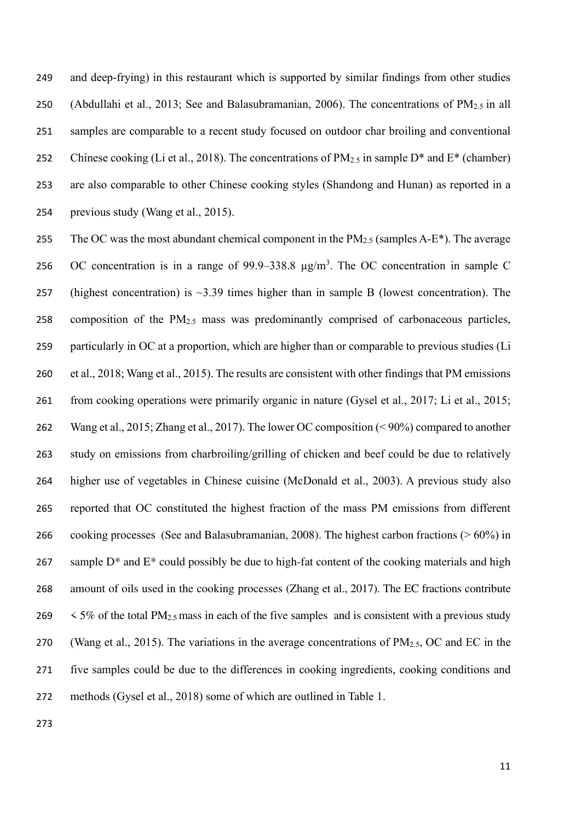and deep-frying) in this restaurant which is supported by similar findings from other studies 250 (Abdullahi et al., 2013; See and Balasubramanian, 2006). The concentrations of  $PM_{2.5}$  in all samples are comparable to a recent study focused on outdoor char broiling and conventional 252 Chinese cooking (Li et al., 2018). The concentrations of  $PM_{2.5}$  in sample  $D^*$  and  $E^*$  (chamber) are also comparable to other Chinese cooking styles (Shandong and Hunan) as reported in a previous study (Wang et al., 2015).

255 The OC was the most abundant chemical component in the  $PM_{2.5}$  (samples A-E<sup>\*</sup>). The average 256 OC concentration is in a range of 99.9–338.8  $\mu$ g/m<sup>3</sup>. The OC concentration in sample C 257 (highest concentration) is  $\sim$ 3.39 times higher than in sample B (lowest concentration). The 258 composition of the  $PM<sub>2.5</sub>$  mass was predominantly comprised of carbonaceous particles, particularly in OC at a proportion, which are higher than or comparable to previous studies (Li et al., 2018; Wang et al., 2015). The results are consistent with other findings that PM emissions from cooking operations were primarily organic in nature (Gysel et al., 2017; Li et al., 2015; Wang et al., 2015; Zhang et al., 2017). The lower OC composition (< 90%) compared to another study on emissions from charbroiling/grilling of chicken and beef could be due to relatively higher use of vegetables in Chinese cuisine (McDonald et al., 2003). A previous study also reported that OC constituted the highest fraction of the mass PM emissions from different cooking processes (See and Balasubramanian, 2008). The highest carbon fractions (> 60%) in 267 sample  $D^*$  and  $E^*$  could possibly be due to high-fat content of the cooking materials and high amount of oils used in the cooking processes (Zhang et al., 2017). The EC fractions contribute  $\leq$  5% of the total PM<sub>2.5</sub> mass in each of the five samples and is consistent with a previous study 270 (Wang et al., 2015). The variations in the average concentrations of  $PM_{2.5}$ , OC and EC in the five samples could be due to the differences in cooking ingredients, cooking conditions and methods (Gysel et al., 2018) some of which are outlined in Table 1.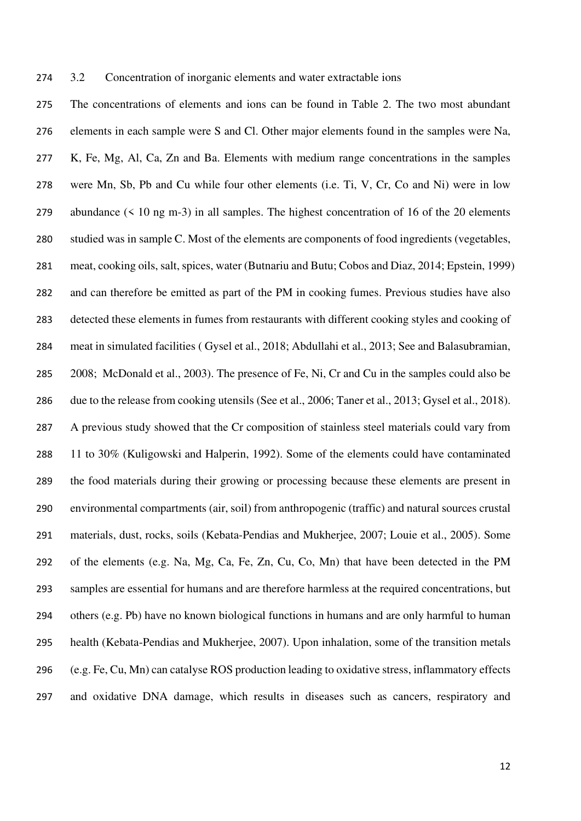#### 3.2 Concentration of inorganic elements and water extractable ions

 The concentrations of elements and ions can be found in Table 2. The two most abundant elements in each sample were S and Cl. Other major elements found in the samples were Na, K, Fe, Mg, Al, Ca, Zn and Ba. Elements with medium range concentrations in the samples were Mn, Sb, Pb and Cu while four other elements (i.e. Ti, V, Cr, Co and Ni) were in low abundance (< 10 ng m-3) in all samples. The highest concentration of 16 of the 20 elements studied was in sample C. Most of the elements are components of food ingredients (vegetables, meat, cooking oils, salt, spices, water (Butnariu and Butu; Cobos and Diaz, 2014; Epstein, 1999) and can therefore be emitted as part of the PM in cooking fumes. Previous studies have also detected these elements in fumes from restaurants with different cooking styles and cooking of meat in simulated facilities ( Gysel et al., 2018; Abdullahi et al., 2013; See and Balasubramian, 2008; McDonald et al., 2003). The presence of Fe, Ni, Cr and Cu in the samples could also be due to the release from cooking utensils (See et al., 2006; Taner et al., 2013; Gysel et al., 2018). A previous study showed that the Cr composition of stainless steel materials could vary from 11 to 30% (Kuligowski and Halperin, 1992). Some of the elements could have contaminated the food materials during their growing or processing because these elements are present in environmental compartments (air, soil) from anthropogenic (traffic) and natural sources crustal materials, dust, rocks, soils (Kebata-Pendias and Mukherjee, 2007; Louie et al., 2005). Some of the elements (e.g. Na, Mg, Ca, Fe, Zn, Cu, Co, Mn) that have been detected in the PM samples are essential for humans and are therefore harmless at the required concentrations, but others (e.g. Pb) have no known biological functions in humans and are only harmful to human health (Kebata-Pendias and Mukherjee, 2007). Upon inhalation, some of the transition metals (e.g. Fe, Cu, Mn) can catalyse ROS production leading to oxidative stress, inflammatory effects and oxidative DNA damage, which results in diseases such as cancers, respiratory and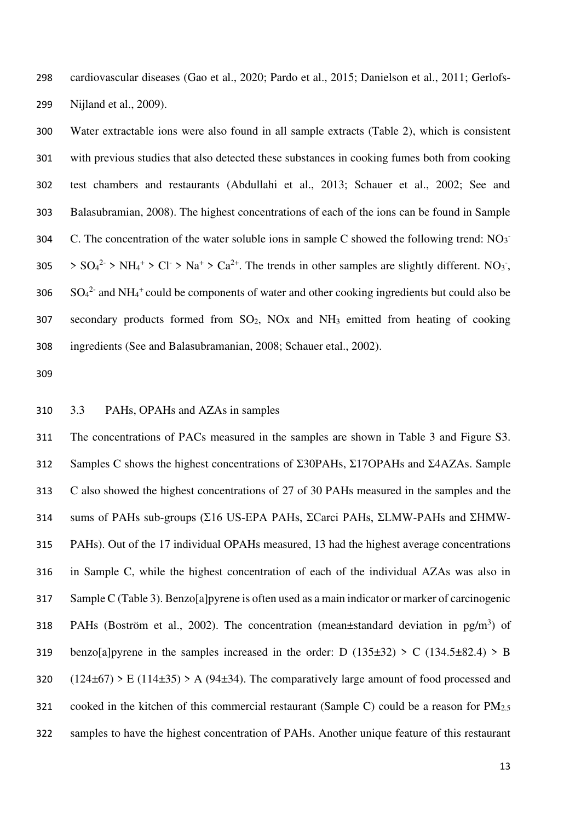cardiovascular diseases (Gao et al., 2020; Pardo et al., 2015; Danielson et al., 2011; Gerlofs-Nijland et al., 2009).

 Water extractable ions were also found in all sample extracts (Table 2), which is consistent with previous studies that also detected these substances in cooking fumes both from cooking test chambers and restaurants (Abdullahi et al., 2013; Schauer et al., 2002; See and Balasubramian, 2008). The highest concentrations of each of the ions can be found in Sample C. The concentration of the water soluble ions in sample C showed the following trend:  $NO<sub>3</sub>$   $SO_4^2$  >  $NH_4^+$  >  $Cl^-$  >  $Na^+$  >  $Ca^{2+}$ . The trends in other samples are slightly different. NO<sub>3</sub><sup>-</sup>,  $SO_4^2$  and NH<sub>4</sub><sup>+</sup> could be components of water and other cooking ingredients but could also be secondary products formed from SO2, NOx and NH3 emitted from heating of cooking ingredients (See and Balasubramanian, 2008; Schauer etal., 2002).

3.3 PAHs, OPAHs and AZAs in samples

 The concentrations of PACs measured in the samples are shown in Table 3 and Figure S3. Samples C shows the highest concentrations of Σ30PAHs, Σ17OPAHs and Σ4AZAs. Sample C also showed the highest concentrations of 27 of 30 PAHs measured in the samples and the sums of PAHs sub-groups (Σ16 US-EPA PAHs, ΣCarci PAHs, ΣLMW-PAHs and ΣHMW- PAHs). Out of the 17 individual OPAHs measured, 13 had the highest average concentrations in Sample C, while the highest concentration of each of the individual AZAs was also in Sample C (Table 3). Benzo[a]pyrene is often used as a main indicator or marker of carcinogenic 318 PAHs (Boström et al., 2002). The concentration (mean±standard deviation in pg/m<sup>3</sup>) of 319 benzo[a]pyrene in the samples increased in the order: D  $(135\pm32) > C$   $(134.5\pm82.4) > B$  $(124\pm67)$  > E (114 $\pm$ 35) > A (94 $\pm$ 34). The comparatively large amount of food processed and 321 cooked in the kitchen of this commercial restaurant (Sample C) could be a reason for  $PM_{2.5}$ samples to have the highest concentration of PAHs. Another unique feature of this restaurant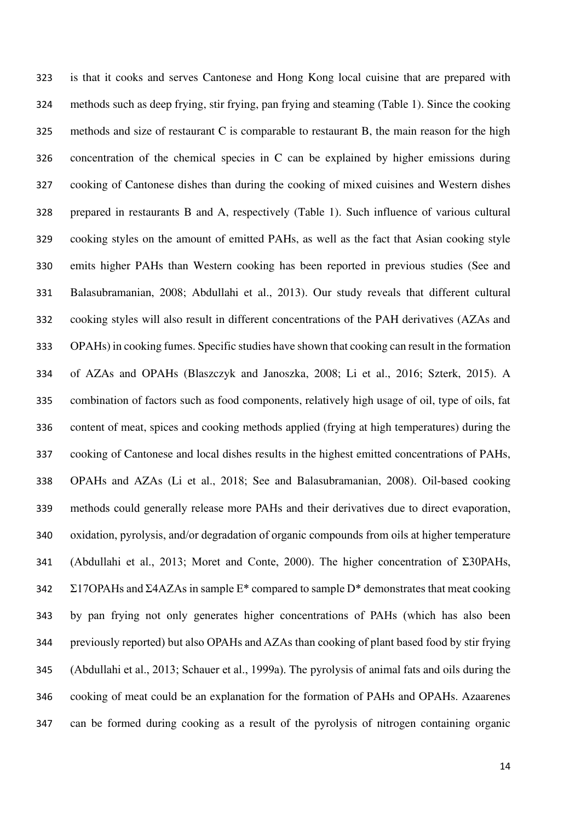is that it cooks and serves Cantonese and Hong Kong local cuisine that are prepared with methods such as deep frying, stir frying, pan frying and steaming (Table 1). Since the cooking methods and size of restaurant C is comparable to restaurant B, the main reason for the high concentration of the chemical species in C can be explained by higher emissions during cooking of Cantonese dishes than during the cooking of mixed cuisines and Western dishes prepared in restaurants B and A, respectively (Table 1). Such influence of various cultural cooking styles on the amount of emitted PAHs, as well as the fact that Asian cooking style emits higher PAHs than Western cooking has been reported in previous studies (See and Balasubramanian, 2008; Abdullahi et al., 2013). Our study reveals that different cultural cooking styles will also result in different concentrations of the PAH derivatives (AZAs and OPAHs) in cooking fumes. Specific studies have shown that cooking can result in the formation of AZAs and OPAHs (Blaszczyk and Janoszka, 2008; Li et al., 2016; Szterk, 2015). A combination of factors such as food components, relatively high usage of oil, type of oils, fat content of meat, spices and cooking methods applied (frying at high temperatures) during the cooking of Cantonese and local dishes results in the highest emitted concentrations of PAHs, OPAHs and AZAs (Li et al., 2018; See and Balasubramanian, 2008). Oil-based cooking methods could generally release more PAHs and their derivatives due to direct evaporation, oxidation, pyrolysis, and/or degradation of organic compounds from oils at higher temperature (Abdullahi et al., 2013; Moret and Conte, 2000). The higher concentration of Σ30PAHs,  $\Sigma$ 17OPAHs and  $\Sigma$ 4AZAs in sample E<sup>\*</sup> compared to sample D<sup>\*</sup> demonstrates that meat cooking by pan frying not only generates higher concentrations of PAHs (which has also been previously reported) but also OPAHs and AZAs than cooking of plant based food by stir frying (Abdullahi et al., 2013; Schauer et al., 1999a). The pyrolysis of animal fats and oils during the cooking of meat could be an explanation for the formation of PAHs and OPAHs. Azaarenes can be formed during cooking as a result of the pyrolysis of nitrogen containing organic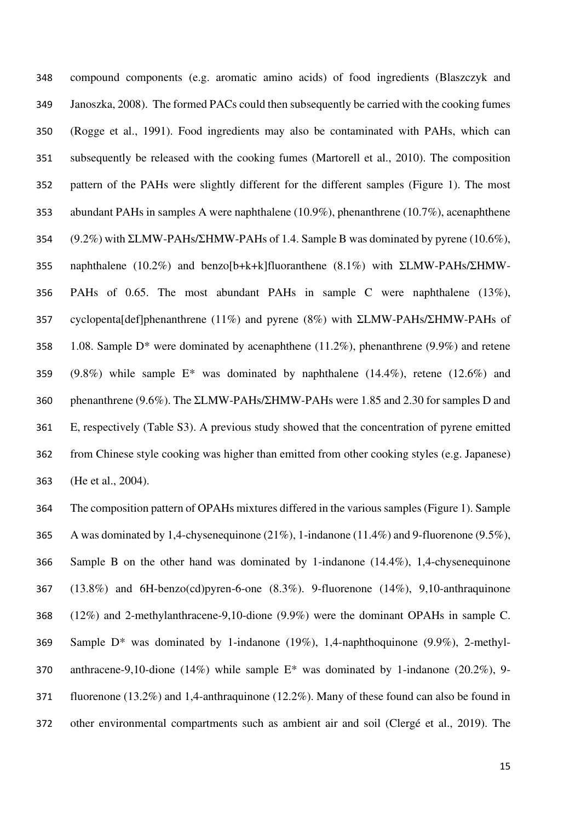compound components (e.g. aromatic amino acids) of food ingredients (Blaszczyk and Janoszka, 2008). The formed PACs could then subsequently be carried with the cooking fumes (Rogge et al., 1991). Food ingredients may also be contaminated with PAHs, which can subsequently be released with the cooking fumes (Martorell et al., 2010). The composition pattern of the PAHs were slightly different for the different samples (Figure 1). The most abundant PAHs in samples A were naphthalene (10.9%), phenanthrene (10.7%), acenaphthene (9.2%) with ΣLMW-PAHs/ΣHMW-PAHs of 1.4. Sample B was dominated by pyrene (10.6%), naphthalene (10.2%) and benzo[b+k+k]fluoranthene (8.1%) with ΣLMW-PAHs/ΣHMW- PAHs of 0.65. The most abundant PAHs in sample C were naphthalene (13%), cyclopenta[def]phenanthrene (11%) and pyrene (8%) with ΣLMW-PAHs/ΣHMW-PAHs of 358 1.08. Sample  $D^*$  were dominated by acenaphthene (11.2%), phenanthrene (9.9%) and retene (9.8%) while sample E\* was dominated by naphthalene (14.4%), retene (12.6%) and phenanthrene (9.6%). The ΣLMW-PAHs/ΣHMW-PAHs were 1.85 and 2.30 for samples D and E, respectively (Table S3). A previous study showed that the concentration of pyrene emitted from Chinese style cooking was higher than emitted from other cooking styles (e.g. Japanese) (He et al., 2004).

 The composition pattern of OPAHs mixtures differed in the various samples (Figure 1). Sample A was dominated by 1,4-chysenequinone (21%), 1-indanone (11.4%) and 9-fluorenone (9.5%), Sample B on the other hand was dominated by 1-indanone (14.4%), 1,4-chysenequinone (13.8%) and 6H-benzo(cd)pyren-6-one (8.3%). 9-fluorenone (14%), 9,10-anthraquinone (12%) and 2-methylanthracene-9,10-dione (9.9%) were the dominant OPAHs in sample C. Sample D\* was dominated by 1-indanone (19%), 1,4-naphthoquinone (9.9%), 2-methyl- anthracene-9,10-dione (14%) while sample E\* was dominated by 1-indanone (20.2%), 9- fluorenone (13.2%) and 1,4-anthraquinone (12.2%). Many of these found can also be found in other environmental compartments such as ambient air and soil (Clergé et al., 2019). The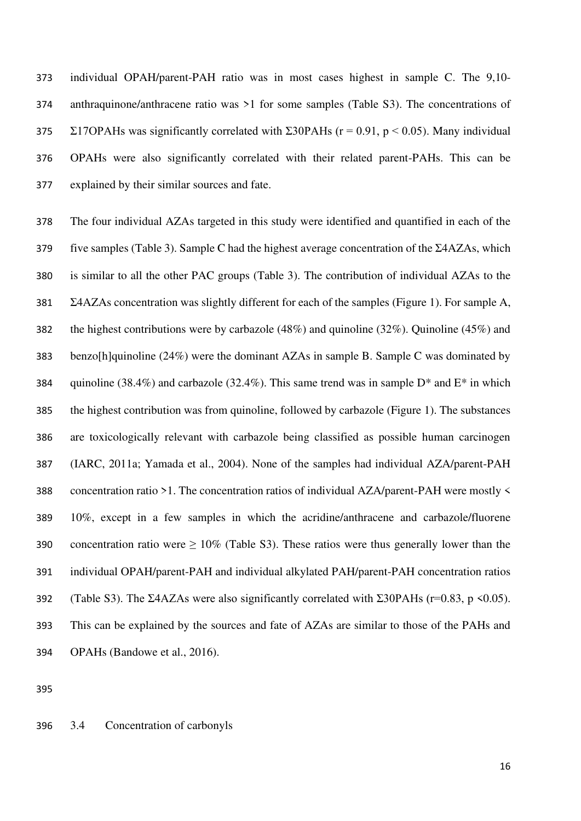individual OPAH/parent-PAH ratio was in most cases highest in sample C. The 9,10- anthraquinone/anthracene ratio was >1 for some samples (Table S3). The concentrations of  $\Sigma$ 17OPAHs was significantly correlated with  $\Sigma$ 30PAHs (r = 0.91, p < 0.05). Many individual OPAHs were also significantly correlated with their related parent-PAHs. This can be explained by their similar sources and fate.

 The four individual AZAs targeted in this study were identified and quantified in each of the five samples (Table 3). Sample C had the highest average concentration of the Σ4AZAs, which is similar to all the other PAC groups (Table 3). The contribution of individual AZAs to the Σ4AZAs concentration was slightly different for each of the samples (Figure 1). For sample A, the highest contributions were by carbazole (48%) and quinoline (32%). Quinoline (45%) and benzo[h]quinoline (24%) were the dominant AZAs in sample B. Sample C was dominated by 384 quinoline (38.4%) and carbazole (32.4%). This same trend was in sample  $D^*$  and  $E^*$  in which the highest contribution was from quinoline, followed by carbazole (Figure 1). The substances are toxicologically relevant with carbazole being classified as possible human carcinogen (IARC, 2011a; Yamada et al., 2004). None of the samples had individual AZA/parent-PAH concentration ratio >1. The concentration ratios of individual AZA/parent-PAH were mostly < 10%, except in a few samples in which the acridine/anthracene and carbazole/fluorene 390 concentration ratio were  $\geq 10\%$  (Table S3). These ratios were thus generally lower than the individual OPAH/parent-PAH and individual alkylated PAH/parent-PAH concentration ratios 392 (Table S3). The Σ4AZAs were also significantly correlated with Σ30PAHs ( $r=0.83$ ,  $p \le 0.05$ ). This can be explained by the sources and fate of AZAs are similar to those of the PAHs and OPAHs (Bandowe et al., 2016).

#### 3.4 Concentration of carbonyls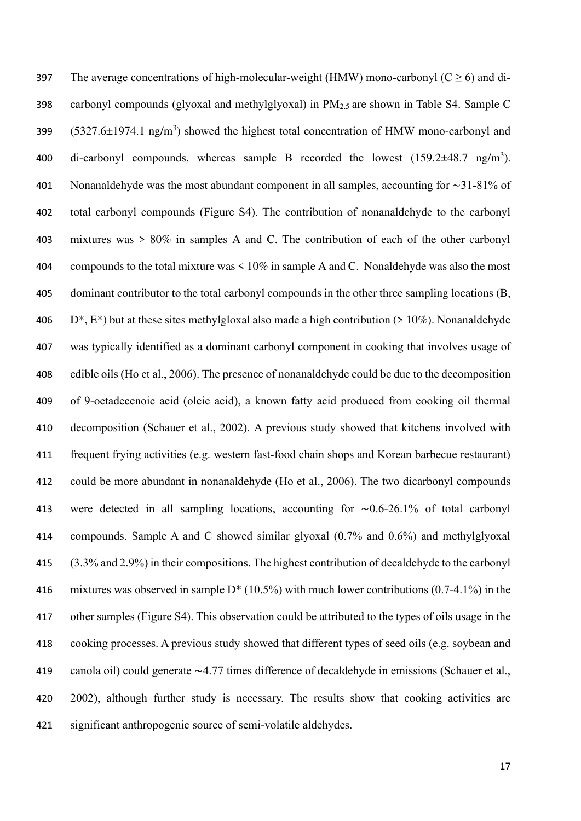397 The average concentrations of high-molecular-weight (HMW) mono-carbonyl ( $C \ge 6$ ) and di- carbonyl compounds (glyoxal and methylglyoxal) in PM2.5 are shown in Table S4. Sample C  $(5327.6 \pm 1974.1 \text{ ng/m}^3)$  showed the highest total concentration of HMW mono-carbonyl and 400 di-carbonyl compounds, whereas sample B recorded the lowest  $(159.2 \pm 48.7 \text{ ng/m}^3)$ . Nonanaldehyde was the most abundant component in all samples, accounting for ∼31-81% of total carbonyl compounds (Figure S4). The contribution of nonanaldehyde to the carbonyl mixtures was > 80% in samples A and C. The contribution of each of the other carbonyl compounds to the total mixture was < 10% in sample A and C. Nonaldehyde was also the most dominant contributor to the total carbonyl compounds in the other three sampling locations (B, 406 D<sup>\*</sup>, E<sup>\*</sup>) but at these sites methylgloxal also made a high contribution ( $> 10\%$ ). Nonanaldehyde was typically identified as a dominant carbonyl component in cooking that involves usage of edible oils (Ho et al., 2006). The presence of nonanaldehyde could be due to the decomposition of 9-octadecenoic acid (oleic acid), a known fatty acid produced from cooking oil thermal decomposition (Schauer et al., 2002). A previous study showed that kitchens involved with frequent frying activities (e.g. western fast-food chain shops and Korean barbecue restaurant) could be more abundant in nonanaldehyde (Ho et al., 2006). The two dicarbonyl compounds were detected in all sampling locations, accounting for ∼0.6-26.1% of total carbonyl compounds. Sample A and C showed similar glyoxal (0.7% and 0.6%) and methylglyoxal (3.3% and 2.9%) in their compositions. The highest contribution of decaldehyde to the carbonyl 416 mixtures was observed in sample  $D^*$  (10.5%) with much lower contributions (0.7-4.1%) in the other samples (Figure S4). This observation could be attributed to the types of oils usage in the cooking processes. A previous study showed that different types of seed oils (e.g. soybean and canola oil) could generate ∼4.77 times difference of decaldehyde in emissions (Schauer et al., 2002), although further study is necessary. The results show that cooking activities are significant anthropogenic source of semi-volatile aldehydes.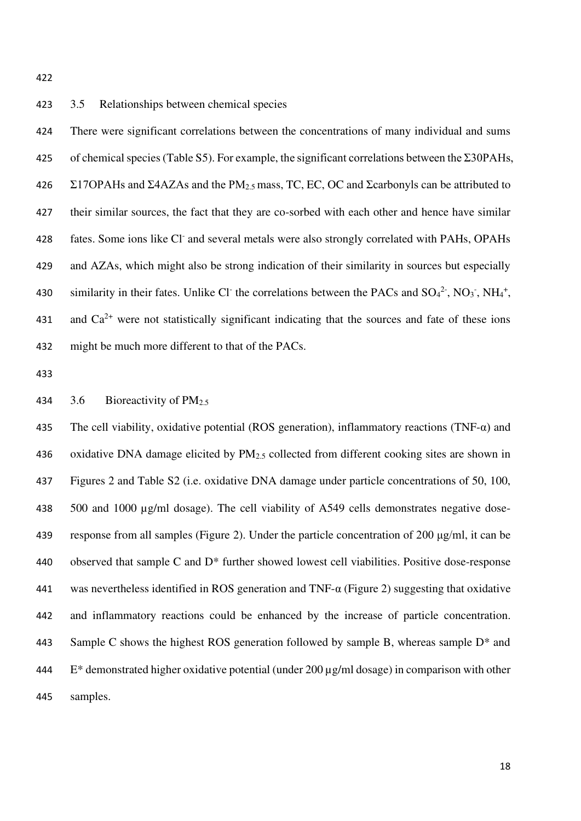## 3.5 Relationships between chemical species

 There were significant correlations between the concentrations of many individual and sums 425 of chemical species (Table S5). For example, the significant correlations between the  $\Sigma$ 30PAHs, 426 Σ17OPAHs and Σ4AZAs and the PM<sub>2.5</sub> mass, TC, EC, OC and Σcarbonyls can be attributed to their similar sources, the fact that they are co-sorbed with each other and hence have similar 428 fates. Some ions like Cl<sup>-</sup> and several metals were also strongly correlated with PAHs, OPAHs and AZAs, which might also be strong indication of their similarity in sources but especially 430 similarity in their fates. Unlike Cl<sup>-</sup> the correlations between the PACs and  $SO_4^2$ <sup>2</sup>,  $NO_3$ <sup>-</sup>,  $NH_4$ <sup>+</sup>, 431 and  $Ca^{2+}$  were not statistically significant indicating that the sources and fate of these ions might be much more different to that of the PACs.

## 3.6 Bioreactivity of PM2.5

435 The cell viability, oxidative potential (ROS generation), inflammatory reactions (TNF- $\alpha$ ) and 436 oxidative DNA damage elicited by PM<sub>2.5</sub> collected from different cooking sites are shown in Figures 2 and Table S2 (i.e. oxidative DNA damage under particle concentrations of 50, 100, 500 and 1000 µg/ml dosage). The cell viability of A549 cells demonstrates negative dose- response from all samples (Figure 2). Under the particle concentration of 200 μg/ml, it can be observed that sample C and D\* further showed lowest cell viabilities. Positive dose-response was nevertheless identified in ROS generation and TNF-α (Figure 2) suggesting that oxidative and inflammatory reactions could be enhanced by the increase of particle concentration. 443 Sample C shows the highest ROS generation followed by sample B, whereas sample D<sup>\*</sup> and E\* demonstrated higher oxidative potential (under 200 µg/ml dosage) in comparison with other samples.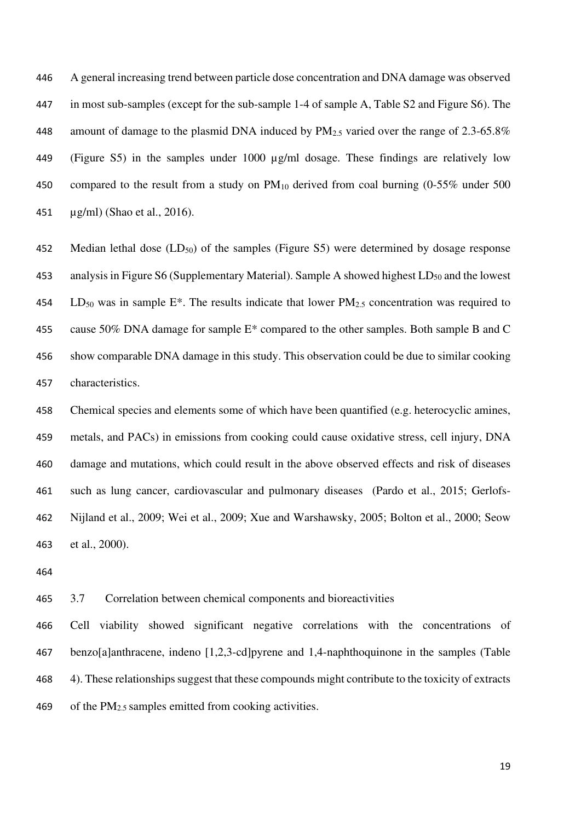A general increasing trend between particle dose concentration and DNA damage was observed in most sub-samples (except for the sub-sample 1-4 of sample A, Table S2 and Figure S6). The 448 amount of damage to the plasmid DNA induced by PM<sub>2.5</sub> varied over the range of 2.3-65.8% (Figure S5) in the samples under 1000 µg/ml dosage. These findings are relatively low 450 compared to the result from a study on  $PM_{10}$  derived from coal burning (0-55% under 500 µg/ml) (Shao et al., 2016).

452 Median lethal dose  $(LD_{50})$  of the samples (Figure S5) were determined by dosage response 453 analysis in Figure S6 (Supplementary Material). Sample A showed highest  $LD_{50}$  and the lowest 454 LD<sub>50</sub> was in sample E<sup>\*</sup>. The results indicate that lower PM<sub>2.5</sub> concentration was required to cause 50% DNA damage for sample E\* compared to the other samples. Both sample B and C show comparable DNA damage in this study. This observation could be due to similar cooking characteristics.

 Chemical species and elements some of which have been quantified (e.g. heterocyclic amines, metals, and PACs) in emissions from cooking could cause oxidative stress, cell injury, DNA damage and mutations, which could result in the above observed effects and risk of diseases such as lung cancer, cardiovascular and pulmonary diseases (Pardo et al., 2015; Gerlofs- Nijland et al., 2009; Wei et al., 2009; Xue and Warshawsky, 2005; Bolton et al., 2000; Seow et al., 2000).

3.7 Correlation between chemical components and bioreactivities

 Cell viability showed significant negative correlations with the concentrations of benzo[a]anthracene, indeno [1,2,3-cd]pyrene and 1,4-naphthoquinone in the samples (Table 4). These relationships suggest that these compounds might contribute to the toxicity of extracts 469 of the  $PM_{2.5}$  samples emitted from cooking activities.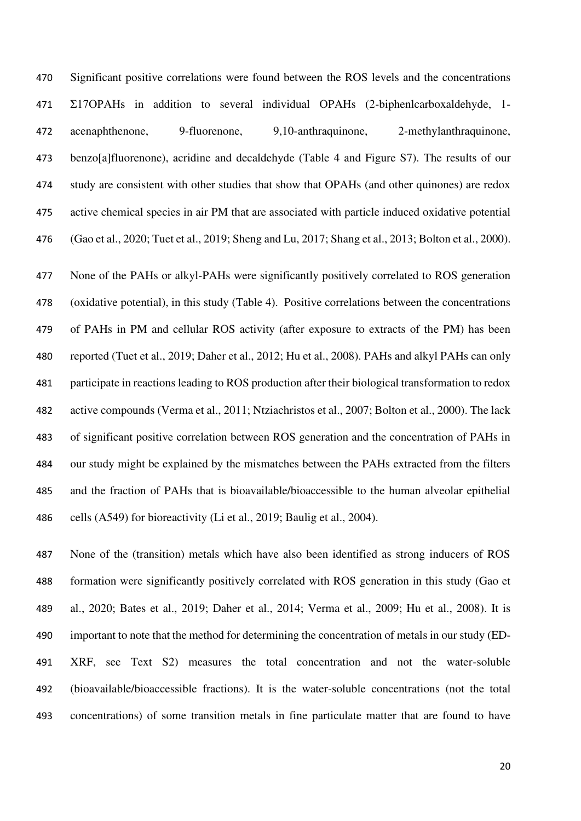Significant positive correlations were found between the ROS levels and the concentrations Σ17OPAHs in addition to several individual OPAHs (2-biphenlcarboxaldehyde, 1- acenaphthenone, 9-fluorenone, 9,10-anthraquinone, 2-methylanthraquinone, benzo[a]fluorenone), acridine and decaldehyde (Table 4 and Figure S7). The results of our study are consistent with other studies that show that OPAHs (and other quinones) are redox active chemical species in air PM that are associated with particle induced oxidative potential (Gao et al., 2020; Tuet et al., 2019; Sheng and Lu, 2017; Shang et al., 2013; Bolton et al., 2000).

 None of the PAHs or alkyl-PAHs were significantly positively correlated to ROS generation (oxidative potential), in this study (Table 4). Positive correlations between the concentrations of PAHs in PM and cellular ROS activity (after exposure to extracts of the PM) has been reported (Tuet et al., 2019; Daher et al., 2012; Hu et al., 2008). PAHs and alkyl PAHs can only participate in reactions leading to ROS production after their biological transformation to redox active compounds (Verma et al., 2011; Ntziachristos et al., 2007; Bolton et al., 2000). The lack of significant positive correlation between ROS generation and the concentration of PAHs in our study might be explained by the mismatches between the PAHs extracted from the filters and the fraction of PAHs that is bioavailable/bioaccessible to the human alveolar epithelial cells (A549) for bioreactivity (Li et al., 2019; Baulig et al., 2004).

 None of the (transition) metals which have also been identified as strong inducers of ROS formation were significantly positively correlated with ROS generation in this study (Gao et al., 2020; Bates et al., 2019; Daher et al., 2014; Verma et al., 2009; Hu et al., 2008). It is important to note that the method for determining the concentration of metals in our study (ED- XRF, see Text S2) measures the total concentration and not the water-soluble (bioavailable/bioaccessible fractions). It is the water-soluble concentrations (not the total concentrations) of some transition metals in fine particulate matter that are found to have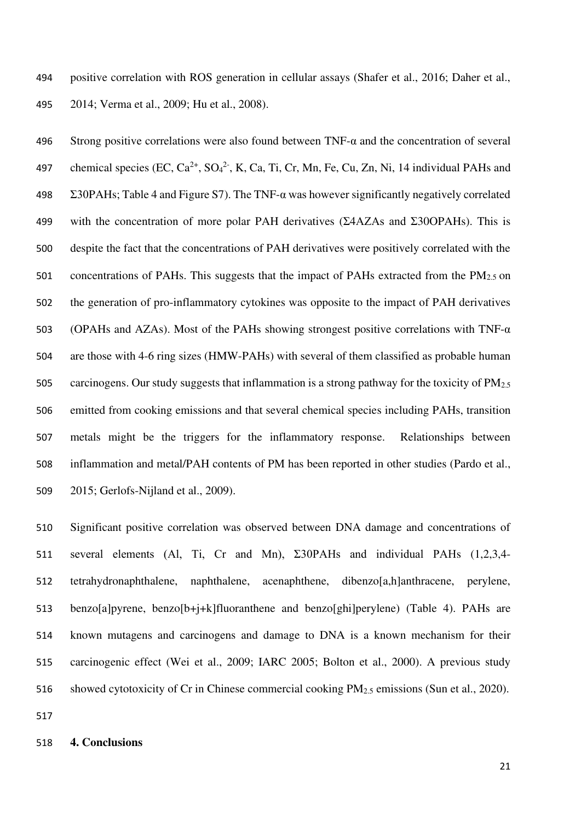positive correlation with ROS generation in cellular assays (Shafer et al., 2016; Daher et al., 2014; Verma et al., 2009; Hu et al., 2008).

496 Strong positive correlations were also found between  $TNF-\alpha$  and the concentration of several 497 chemical species (EC,  $Ca^{2+}$ ,  $SO_4^2$ <sup>-</sup>, K, Ca, Ti, Cr, Mn, Fe, Cu, Zn, Ni, 14 individual PAHs and  $\Sigma$ 30PAHs; Table 4 and Figure S7). The TNF- $\alpha$  was however significantly negatively correlated with the concentration of more polar PAH derivatives (Σ4AZAs and Σ30OPAHs). This is despite the fact that the concentrations of PAH derivatives were positively correlated with the 501 concentrations of PAHs. This suggests that the impact of PAHs extracted from the PM<sub>2.5</sub> on the generation of pro-inflammatory cytokines was opposite to the impact of PAH derivatives (OPAHs and AZAs). Most of the PAHs showing strongest positive correlations with TNF-α are those with 4-6 ring sizes (HMW-PAHs) with several of them classified as probable human 505 carcinogens. Our study suggests that inflammation is a strong pathway for the toxicity of  $PM_{2.5}$  emitted from cooking emissions and that several chemical species including PAHs, transition metals might be the triggers for the inflammatory response. Relationships between inflammation and metal/PAH contents of PM has been reported in other studies (Pardo et al., 2015; Gerlofs-Nijland et al., 2009).

 Significant positive correlation was observed between DNA damage and concentrations of several elements (Al, Ti, Cr and Mn), Σ30PAHs and individual PAHs (1,2,3,4- tetrahydronaphthalene, naphthalene, acenaphthene, dibenzo[a,h]anthracene, perylene, benzo[a]pyrene, benzo[b+j+k]fluoranthene and benzo[ghi]perylene) (Table 4). PAHs are known mutagens and carcinogens and damage to DNA is a known mechanism for their carcinogenic effect (Wei et al., 2009; IARC 2005; Bolton et al., 2000). A previous study showed cytotoxicity of Cr in Chinese commercial cooking PM2.5 emissions (Sun et al., 2020).

#### **4. Conclusions**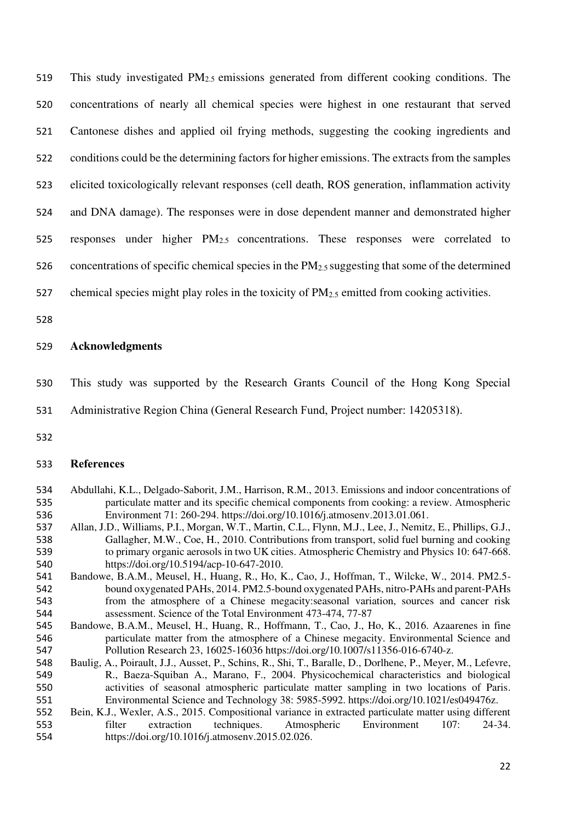This study investigated PM2.5 emissions generated from different cooking conditions. The concentrations of nearly all chemical species were highest in one restaurant that served Cantonese dishes and applied oil frying methods, suggesting the cooking ingredients and conditions could be the determining factors for higher emissions. The extracts from the samples elicited toxicologically relevant responses (cell death, ROS generation, inflammation activity and DNA damage). The responses were in dose dependent manner and demonstrated higher

responses under higher PM2.5 concentrations. These responses were correlated to

526 concentrations of specific chemical species in the  $PM_{2.5}$  suggesting that some of the determined

- 527 chemical species might play roles in the toxicity of  $PM_{2.5}$  emitted from cooking activities.
- 

## **Acknowledgments**

This study was supported by the Research Grants Council of the Hong Kong Special

Administrative Region China (General Research Fund, Project number: 14205318).

## **References**

- Abdullahi, K.L., Delgado-Saborit, J.M., Harrison, R.M., 2013. Emissions and indoor concentrations of particulate matter and its specific chemical components from cooking: a review. Atmospheric Environment 71: 260-294. https://doi.org/10.1016/j.atmosenv.2013.01.061.
- Allan, J.D., Williams, P.I., Morgan, W.T., Martin, C.L., Flynn, M.J., Lee, J., Nemitz, E., Phillips, G.J., Gallagher, M.W., Coe, H., 2010. Contributions from transport, solid fuel burning and cooking to primary organic aerosols in two UK cities. Atmospheric Chemistry and Physics 10: 647-668. https://doi.org/10.5194/acp-10-647-2010.
- Bandowe, B.A.M., Meusel, H., Huang, R., Ho, K., Cao, J., Hoffman, T., Wilcke, W., 2014. PM2.5- bound oxygenated PAHs, 2014. PM2.5-bound oxygenated PAHs, nitro-PAHs and parent-PAHs from the atmosphere of a Chinese megacity:seasonal variation, sources and cancer risk assessment. Science of the Total Environment 473-474, 77-87
- Bandowe, B.A.M., Meusel, H., Huang, R., Hoffmann, T., Cao, J., Ho, K., 2016. Azaarenes in fine particulate matter from the atmosphere of a Chinese megacity. Environmental Science and Pollution Research 23, 16025-16036 https://doi.org/10.1007/s11356-016-6740-z.
- Baulig, A., Poirault, J.J., Ausset, P., Schins, R., Shi, T., Baralle, D., Dorlhene, P., Meyer, M., Lefevre, R., Baeza-Squiban A., Marano, F., 2004. Physicochemical characteristics and biological activities of seasonal atmospheric particulate matter sampling in two locations of Paris. Environmental Science and Technology 38: 5985-5992. https://doi.org/10.1021/es049476z.
- Bein, K.J., Wexler, A.S., 2015. Compositional variance in extracted particulate matter using different filter extraction techniques. Atmospheric Environment 107: 24-34. https://doi.org/10.1016/j.atmosenv.2015.02.026.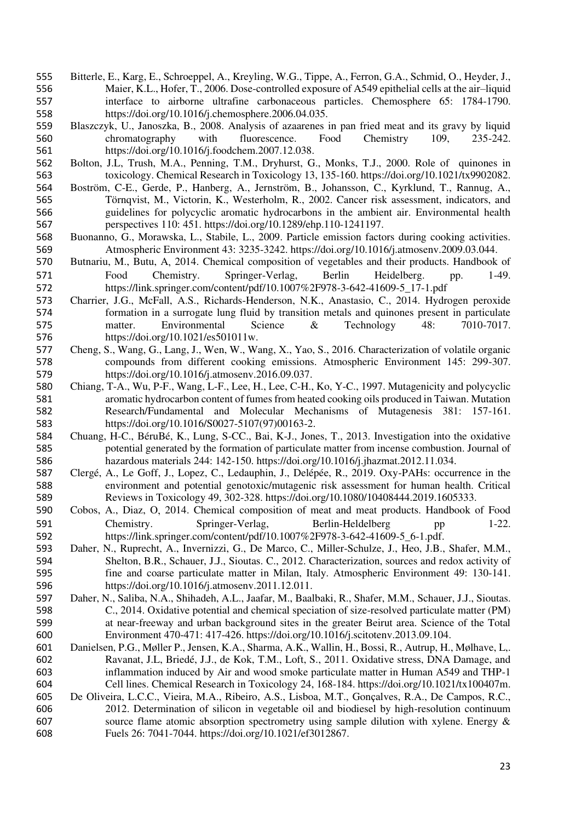- Bitterle, E., Karg, E., Schroeppel, A., Kreyling, W.G., Tippe, A., Ferron, G.A., Schmid, O., Heyder, J., Maier, K.L., Hofer, T., 2006. Dose-controlled exposure of A549 epithelial cells at the air–liquid interface to airborne ultrafine carbonaceous particles. Chemosphere 65: 1784-1790. https://doi.org/10.1016/j.chemosphere.2006.04.035.
- Blaszczyk, U., Janoszka, B., 2008. Analysis of azaarenes in pan fried meat and its gravy by liquid chromatography with fluorescence. Food Chemistry 109, 235-242. https://doi.org/10.1016/j.foodchem.2007.12.038.
- Bolton, J.L, Trush, M.A., Penning, T.M., Dryhurst, G., Monks, T.J., 2000. Role of quinones in toxicology. Chemical Research in Toxicology 13, 135-160. https://doi.org/10.1021/tx9902082.
- Boström, C-E., Gerde, P., Hanberg, A., Jernström, B., Johansson, C., Kyrklund, T., Rannug, A., Törnqvist, M., Victorin, K., Westerholm, R., 2002. Cancer risk assessment, indicators, and guidelines for polycyclic aromatic hydrocarbons in the ambient air. Environmental health perspectives 110: 451. https://doi.org/10.1289/ehp.110-1241197.
- Buonanno, G., Morawska, L., Stabile, L., 2009. Particle emission factors during cooking activities. Atmospheric Environment 43: 3235-3242. https://doi.org/10.1016/j.atmosenv.2009.03.044.
- Butnariu, M., Butu, A, 2014. Chemical composition of vegetables and their products. Handbook of Food Chemistry. Springer-Verlag, Berlin Heidelberg. pp. 1-49. https://link.springer.com/content/pdf/10.1007%2F978-3-642-41609-5\_17-1.pdf
- Charrier, J.G., McFall, A.S., Richards-Henderson, N.K., Anastasio, C., 2014. Hydrogen peroxide formation in a surrogate lung fluid by transition metals and quinones present in particulate matter. Environmental Science & Technology 48: 7010-7017. https://doi.org/10.1021/es501011w.
- Cheng, S., Wang, G., Lang, J., Wen, W., Wang, X., Yao, S., 2016. Characterization of volatile organic compounds from different cooking emissions. Atmospheric Environment 145: 299-307. https://doi.org/10.1016/j.atmosenv.2016.09.037.
- Chiang, T-A., Wu, P-F., Wang, L-F., Lee, H., Lee, C-H., Ko, Y-C., 1997. Mutagenicity and polycyclic aromatic hydrocarbon content of fumes from heated cooking oils produced in Taiwan. Mutation Research/Fundamental and Molecular Mechanisms of Mutagenesis 381: 157-161. https://doi.org/10.1016/S0027-5107(97)00163-2.
- Chuang, H-C., BéruBé, K., Lung, S-CC., Bai, K-J., Jones, T., 2013. Investigation into the oxidative potential generated by the formation of particulate matter from incense combustion. Journal of hazardous materials 244: 142-150. https://doi.org/10.1016/j.jhazmat.2012.11.034.
- Clergé, A., Le Goff, J., Lopez, C., Ledauphin, J., Delépée, R., 2019. Oxy-PAHs: occurrence in the environment and potential genotoxic/mutagenic risk assessment for human health. Critical Reviews in Toxicology 49, 302-328. https://doi.org/10.1080/10408444.2019.1605333.
- Cobos, A., Diaz, O, 2014. Chemical composition of meat and meat products. Handbook of Food 591 Chemistry. Springer-Verlag, Berlin-Heldelberg pp 1-22. https://link.springer.com/content/pdf/10.1007%2F978-3-642-41609-5\_6-1.pdf.
- Daher, N., Ruprecht, A., Invernizzi, G., De Marco, C., Miller-Schulze, J., Heo, J.B., Shafer, M.M., Shelton, B.R., Schauer, J.J., Sioutas. C., 2012. Characterization, sources and redox activity of fine and coarse particulate matter in Milan, Italy. Atmospheric Environment 49: 130-141. https://doi.org/10.1016/j.atmosenv.2011.12.011.
- Daher, N., Saliba, N.A., Shihadeh, A.L., Jaafar, M., Baalbaki, R., Shafer, M.M., Schauer, J.J., Sioutas. C., 2014. Oxidative potential and chemical speciation of size-resolved particulate matter (PM) at near-freeway and urban background sites in the greater Beirut area. Science of the Total Environment 470-471: 417-426. https://doi.org/10.1016/j.scitotenv.2013.09.104.
- Danielsen, P.G., Møller P., Jensen, K.A., Sharma, A.K., Wallin, H., Bossi, R., Autrup, H., Mølhave, L,. Ravanat, J.L, Briedé, J.J., de Kok, T.M., Loft, S., 2011. Oxidative stress, DNA Damage, and inflammation induced by Air and wood smoke particulate matter in Human A549 and THP-1 Cell lines. Chemical Research in Toxicology 24, 168-184. https://doi.org/10.1021/tx100407m.
- De Oliveira, L.C.C., Vieira, M.A., Ribeiro, A.S., Lisboa, M.T., Gonçalves, R.A., De Campos, R.C., 2012. Determination of silicon in vegetable oil and biodiesel by high-resolution continuum source flame atomic absorption spectrometry using sample dilution with xylene. Energy & Fuels 26: 7041-7044. https://doi.org/10.1021/ef3012867.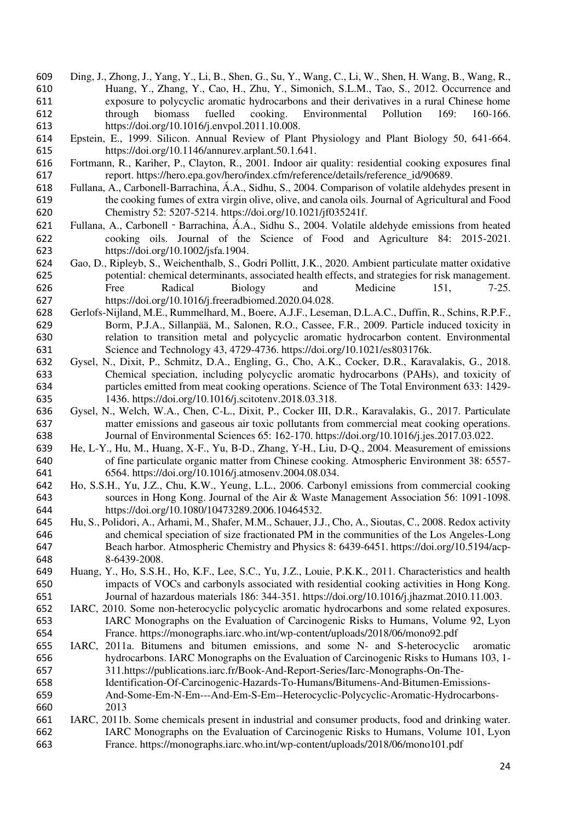- Ding, J., Zhong, J., Yang, Y., Li, B., Shen, G., Su, Y., Wang, C., Li, W., Shen, H. Wang, B., Wang, R., Huang, Y., Zhang, Y., Cao, H., Zhu, Y., Simonich, S.L.M., Tao, S., 2012. Occurrence and exposure to polycyclic aromatic hydrocarbons and their derivatives in a rural Chinese home through biomass fuelled cooking. Environmental Pollution 169: 160-166. https://doi.org/10.1016/j.envpol.2011.10.008.
- Epstein, E., 1999. Silicon. Annual Review of Plant Physiology and Plant Biology 50, 641-664. https://doi.org/10.1146/annurev.arplant.50.1.641.
- Fortmann, R., Kariher, P., Clayton, R., 2001. Indoor air quality: residential cooking exposures final 617 report. https://hero.epa.gov/hero/index.cfm/reference/details/reference id/90689.
- Fullana, A., Carbonell-Barrachina, Á.A., Sidhu, S., 2004. Comparison of volatile aldehydes present in the cooking fumes of extra virgin olive, olive, and canola oils. Journal of Agricultural and Food Chemistry 52: 5207-5214. https://doi.org/10.1021/jf035241f.
- Fullana, A., Carbonell‐Barrachina, Á.A., Sidhu S., 2004. Volatile aldehyde emissions from heated cooking oils. Journal of the Science of Food and Agriculture 84: 2015-2021. https://doi.org/10.1002/jsfa.1904.
- Gao, D., Ripleyb, S., Weichenthalb, S., Godri Pollitt, J.K., 2020. Ambient particulate matter oxidative potential: chemical determinants, associated health effects, and strategies for risk management. 626 Free Radical Biology and Medicine 151, 7-25. https://doi.org/10.1016/j.freeradbiomed.2020.04.028.
- Gerlofs-Nijland, M.E., Rummelhard, M., Boere, A.J.F., Leseman, D.L.A.C., Duffin, R., Schins, R.P.F., Borm, P.J.A., Sillanpää, M., Salonen, R.O., Cassee, F.R., 2009. Particle induced toxicity in relation to transition metal and polycyclic aromatic hydrocarbon content. Environmental Science and Technology 43, 4729-4736. https://doi.org/10.1021/es803176k.
- Gysel, N., Dixit, P., Schmitz, D.A., Engling, G., Cho, A.K., Cocker, D.R., Karavalakis, G., 2018. Chemical speciation, including polycyclic aromatic hydrocarbons (PAHs), and toxicity of particles emitted from meat cooking operations. Science of The Total Environment 633: 1429- 1436. https://doi.org/10.1016/j.scitotenv.2018.03.318.
- Gysel, N., Welch, W.A., Chen, C-L., Dixit, P., Cocker III, D.R., Karavalakis, G., 2017. Particulate matter emissions and gaseous air toxic pollutants from commercial meat cooking operations. Journal of Environmental Sciences 65: 162-170. https://doi.org/10.1016/j.jes.2017.03.022.
- He, L-Y., Hu, M., Huang, X-F., Yu, B-D., Zhang, Y-H., Liu, D-Q., 2004. Measurement of emissions of fine particulate organic matter from Chinese cooking. Atmospheric Environment 38: 6557- 6564. https://doi.org/10.1016/j.atmosenv.2004.08.034.
- Ho, S.S.H., Yu, J.Z., Chu, K.W., Yeung, L.L., 2006. Carbonyl emissions from commercial cooking sources in Hong Kong. Journal of the Air & Waste Management Association 56: 1091-1098. https://doi.org/10.1080/10473289.2006.10464532.
- Hu, S., Polidori, A., Arhami, M., Shafer, M.M., Schauer, J.J., Cho, A., Sioutas, C., 2008. Redox activity and chemical speciation of size fractionated PM in the communities of the Los Angeles-Long Beach harbor. Atmospheric Chemistry and Physics 8: 6439-6451. https://doi.org/10.5194/acp-8-6439-2008.
- Huang, Y., Ho, S.S.H., Ho, K.F., Lee, S.C., Yu, J.Z., Louie, P.K.K., 2011. Characteristics and health impacts of VOCs and carbonyls associated with residential cooking activities in Hong Kong. Journal of hazardous materials 186: 344-351. https://doi.org/10.1016/j.jhazmat.2010.11.003.
- IARC, 2010. Some non-heterocyclic polycyclic aromatic hydrocarbons and some related exposures. IARC Monographs on the Evaluation of Carcinogenic Risks to Humans, Volume 92, Lyon France. https://monographs.iarc.who.int/wp-content/uploads/2018/06/mono92.pdf
- IARC, 2011a. Bitumens and bitumen emissions, and some N- and S-heterocyclic aromatic hydrocarbons. IARC Monographs on the Evaluation of Carcinogenic Risks to Humans 103, 1- 311.https://publications.iarc.fr/Book-And-Report-Series/Iarc-Monographs-On-The-
- Identification-Of-Carcinogenic-Hazards-To-Humans/Bitumens-And-Bitumen-Emissions-And-Some-Em-N-Em---And-Em-S-Em--Heterocyclic-Polycyclic-Aromatic-Hydrocarbons-
- 2013
- IARC, 2011b. Some chemicals present in industrial and consumer products, food and drinking water. IARC Monographs on the Evaluation of Carcinogenic Risks to Humans, Volume 101, Lyon France. https://monographs.iarc.who.int/wp-content/uploads/2018/06/mono101.pdf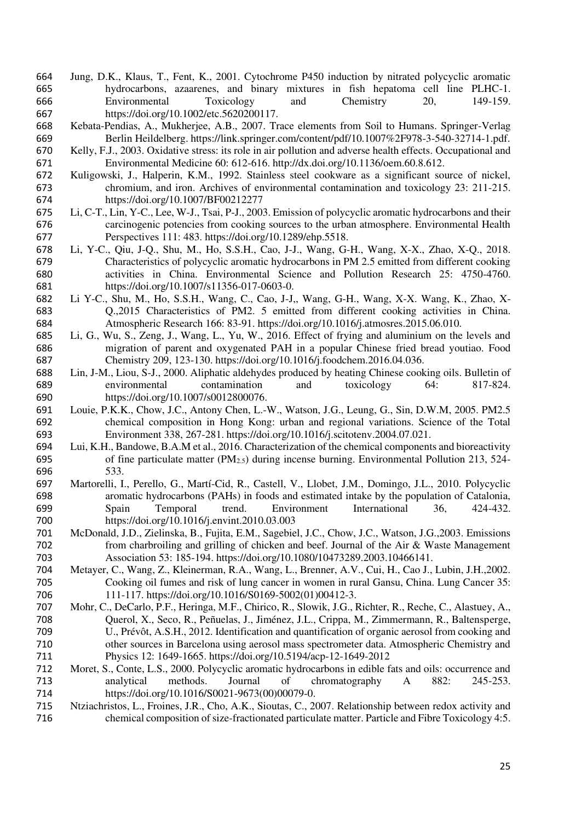- Jung, D.K., Klaus, T., Fent, K., 2001. Cytochrome P450 induction by nitrated polycyclic aromatic hydrocarbons, azaarenes, and binary mixtures in fish hepatoma cell line PLHC-1. Environmental Toxicology and Chemistry 20, 149-159. https://doi.org/10.1002/etc.5620200117.
- Kebata-Pendias, A., Mukherjee, A.B., 2007. Trace elements from Soil to Humans. Springer-Verlag Berlin Heildelberg. https://link.springer.com/content/pdf/10.1007%2F978-3-540-32714-1.pdf.
- Kelly, F.J., 2003. Oxidative stress: its role in air pollution and adverse health effects. Occupational and Environmental Medicine 60: 612-616. http://dx.doi.org/10.1136/oem.60.8.612.
- Kuligowski, J., Halperin, K.M., 1992. Stainless steel cookware as a significant source of nickel, chromium, and iron. Archives of environmental contamination and toxicology 23: 211-215. https://doi.org/10.1007/BF00212277
- Li, C-T., Lin, Y-C., Lee, W-J., Tsai, P-J., 2003. Emission of polycyclic aromatic hydrocarbons and their carcinogenic potencies from cooking sources to the urban atmosphere. Environmental Health Perspectives 111: 483. https://doi.org/10.1289/ehp.5518.
- Li, Y-C., Qiu, J-Q., Shu, M., Ho, S.S.H., Cao, J-J., Wang, G-H., Wang, X-X., Zhao, X-Q., 2018. Characteristics of polycyclic aromatic hydrocarbons in PM 2.5 emitted from different cooking activities in China. Environmental Science and Pollution Research 25: 4750-4760. https://doi.org/10.1007/s11356-017-0603-0.
- Li Y-C., Shu, M., Ho, S.S.H., Wang, C., Cao, J-J,, Wang, G-H., Wang, X-X. Wang, K., Zhao, X- Q.,2015 Characteristics of PM2. 5 emitted from different cooking activities in China. Atmospheric Research 166: 83-91. https://doi.org/10.1016/j.atmosres.2015.06.010.
- Li, G., Wu, S., Zeng, J., Wang, L., Yu, W., 2016. Effect of frying and aluminium on the levels and migration of parent and oxygenated PAH in a popular Chinese fried bread youtiao. Food Chemistry 209, 123-130. https://doi.org/10.1016/j.foodchem.2016.04.036.
- Lin, J-M., Liou, S-J., 2000. Aliphatic aldehydes produced by heating Chinese cooking oils. Bulletin of environmental contamination and toxicology 64: 817-824. https://doi.org/10.1007/s0012800076.
- Louie, P.K.K., Chow, J.C., Antony Chen, L.-W., Watson, J.G., Leung, G., Sin, D.W.M, 2005. PM2.5 chemical composition in Hong Kong: urban and regional variations. Science of the Total Environment 338, 267-281. https://doi.org/10.1016/j.scitotenv.2004.07.021.
- Lui, K.H., Bandowe, B.A.M et al., 2016. Characterization of the chemical components and bioreactivity 695 of fine particulate matter  $(PM<sub>2.5</sub>)$  during incense burning. Environmental Pollution 213, 524-533.
- Martorelli, I., Perello, G., Martí-Cid, R., Castell, V., Llobet, J.M., Domingo, J.L., 2010. Polycyclic aromatic hydrocarbons (PAHs) in foods and estimated intake by the population of Catalonia, Spain Temporal trend. Environment International 36, 424-432. https://doi.org/10.1016/j.envint.2010.03.003
- McDonald, J.D., Zielinska, B., Fujita, E.M., Sagebiel, J.C., Chow, J.C., Watson, J.G.,2003. Emissions from charbroiling and grilling of chicken and beef. Journal of the Air & Waste Management Association 53: 185-194. https://doi.org/10.1080/10473289.2003.10466141.
- Metayer, C., Wang, Z., Kleinerman, R.A., Wang, L., Brenner, A.V., Cui, H., Cao J., Lubin, J.H.,2002. Cooking oil fumes and risk of lung cancer in women in rural Gansu, China. Lung Cancer 35: 111-117. https://doi.org/10.1016/S0169-5002(01)00412-3.
- Mohr, C., DeCarlo, P.F., Heringa, M.F., Chirico, R., Slowik, J.G., Richter, R., Reche, C., Alastuey, A., Querol, X., Seco, R., Peñuelas, J., Jiménez, J.L., Crippa, M., Zimmermann, R., Baltensperge, U., Prévôt, A.S.H., 2012. Identification and quantification of organic aerosol from cooking and other sources in Barcelona using aerosol mass spectrometer data. Atmospheric Chemistry and Physics 12: 1649-1665. https://doi.org/10.5194/acp-12-1649-2012
- Moret, S., Conte, L.S., 2000. Polycyclic aromatic hydrocarbons in edible fats and oils: occurrence and analytical methods. Journal of chromatography A 882: 245-253. https://doi.org/10.1016/S0021-9673(00)00079-0.
- Ntziachristos, L., Froines, J.R., Cho, A.K., Sioutas, C., 2007. Relationship between redox activity and chemical composition of size-fractionated particulate matter. Particle and Fibre Toxicology 4:5.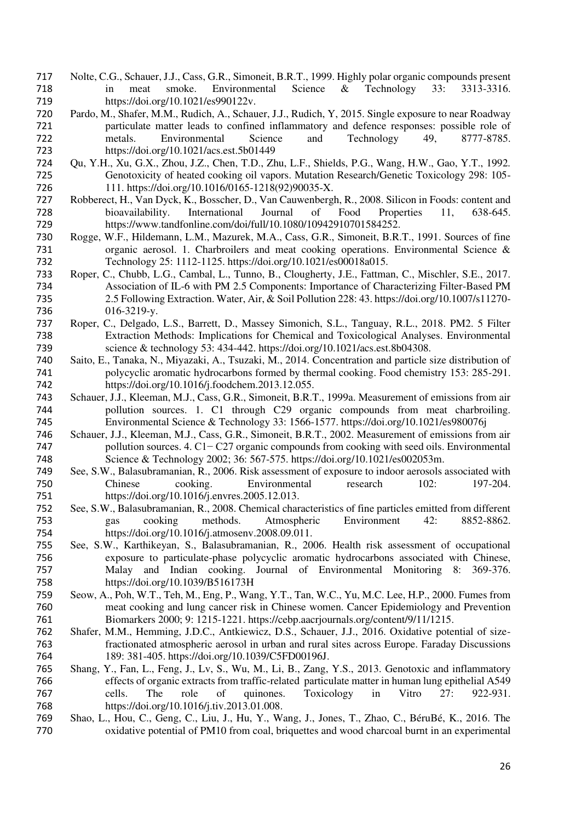- Nolte, C.G., Schauer, J.J., Cass, G.R., Simoneit, B.R.T., 1999. Highly polar organic compounds present in meat smoke. Environmental Science & Technology 33: 3313-3316. https://doi.org/10.1021/es990122v.
- Pardo, M., Shafer, M.M., Rudich, A., Schauer, J.J., Rudich, Y, 2015. Single exposure to near Roadway 721 particulate matter leads to confined inflammatory and defence responses: possible role of metals. Environmental Science and Technology 49, 8777-8785. metals. Environmental Science and Technology 49, 8777-8785. https://doi.org/10.1021/acs.est.5b01449
- Qu, Y.H., Xu, G.X., Zhou, J.Z., Chen, T.D., Zhu, L.F., Shields, P.G., Wang, H.W., Gao, Y.T., 1992. Genotoxicity of heated cooking oil vapors. Mutation Research/Genetic Toxicology 298: 105- 111. https://doi.org/10.1016/0165-1218(92)90035-X.
- Robberect, H., Van Dyck, K., Bosscher, D., Van Cauwenbergh, R., 2008. Silicon in Foods: content and bioavailability. International Journal of Food Properties 11, 638-645. https://www.tandfonline.com/doi/full/10.1080/10942910701584252.
- Rogge, W.F., Hildemann, L.M., Mazurek, M.A., Cass, G.R., Simoneit, B.R.T., 1991. Sources of fine organic aerosol. 1. Charbroilers and meat cooking operations. Environmental Science & Technology 25: 1112-1125. https://doi.org/10.1021/es00018a015.
- Roper, C., Chubb, L.G., Cambal, L., Tunno, B., Clougherty, J.E., Fattman, C., Mischler, S.E., 2017. Association of IL-6 with PM 2.5 Components: Importance of Characterizing Filter-Based PM 2.5 Following Extraction. Water, Air, & Soil Pollution 228: 43. https://doi.org/10.1007/s11270- 016-3219-y.
- Roper, C., Delgado, L.S., Barrett, D., Massey Simonich, S.L., Tanguay, R.L., 2018. PM2. 5 Filter Extraction Methods: Implications for Chemical and Toxicological Analyses. Environmental science & technology 53: 434-442. https://doi.org/10.1021/acs.est.8b04308.
- Saito, E., Tanaka, N., Miyazaki, A., Tsuzaki, M., 2014. Concentration and particle size distribution of polycyclic aromatic hydrocarbons formed by thermal cooking. Food chemistry 153: 285-291. https://doi.org/10.1016/j.foodchem.2013.12.055.
- Schauer, J.J., Kleeman, M.J., Cass, G.R., Simoneit, B.R.T., 1999a. Measurement of emissions from air pollution sources. 1. C1 through C29 organic compounds from meat charbroiling. Environmental Science & Technology 33: 1566-1577. https://doi.org/10.1021/es980076j
- Schauer, J.J., Kleeman, M.J., Cass, G.R., Simoneit, B.R.T., 2002. Measurement of emissions from air pollution sources. 4. C1− C27 organic compounds from cooking with seed oils. Environmental Science & Technology 2002; 36: 567-575. https://doi.org/10.1021/es002053m.
- See, S.W., Balasubramanian, R., 2006. Risk assessment of exposure to indoor aerosols associated with Chinese cooking. Environmental research 102: 197-204. https://doi.org/10.1016/j.envres.2005.12.013.
- See, S.W., Balasubramanian, R., 2008. Chemical characteristics of fine particles emitted from different gas cooking methods. Atmospheric Environment 42: 8852-8862. https://doi.org/10.1016/j.atmosenv.2008.09.011.
- See, S.W., Karthikeyan, S., Balasubramanian, R., 2006. Health risk assessment of occupational exposure to particulate-phase polycyclic aromatic hydrocarbons associated with Chinese, Malay and Indian cooking. Journal of Environmental Monitoring 8: 369-376. https://doi.org/10.1039/B516173H
- Seow, A., Poh, W.T., Teh, M., Eng, P., Wang, Y.T., Tan, W.C., Yu, M.C. Lee, H.P., 2000. Fumes from meat cooking and lung cancer risk in Chinese women. Cancer Epidemiology and Prevention Biomarkers 2000; 9: 1215-1221. https://cebp.aacrjournals.org/content/9/11/1215.
- Shafer, M.M., Hemming, J.D.C., Antkiewicz, D.S., Schauer, J.J., 2016. Oxidative potential of size- fractionated atmospheric aerosol in urban and rural sites across Europe. Faraday Discussions 189: 381-405. https://doi.org/10.1039/C5FD00196J.
- Shang, Y., Fan, L., Feng, J., Lv, S., Wu, M., Li, B., Zang, Y.S., 2013. Genotoxic and inflammatory effects of organic extracts from traffic-related particulate matter in human lung epithelial A549 cells. The role of quinones. Toxicology in Vitro 27: 922-931. https://doi.org/10.1016/j.tiv.2013.01.008.
- Shao, L., Hou, C., Geng, C., Liu, J., Hu, Y., Wang, J., Jones, T., Zhao, C., BéruBé, K., 2016. The oxidative potential of PM10 from coal, briquettes and wood charcoal burnt in an experimental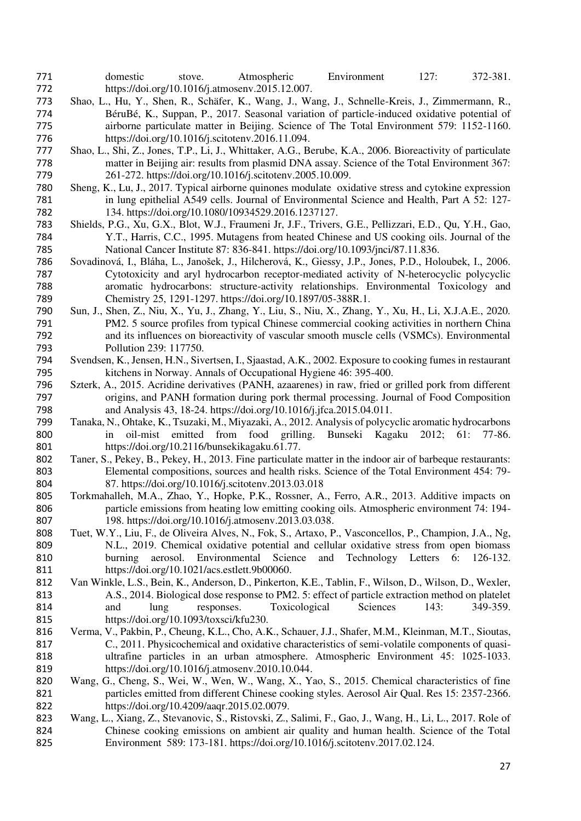- domestic stove. Atmospheric Environment 127: 372-381. https://doi.org/10.1016/j.atmosenv.2015.12.007.
- Shao, L., Hu, Y., Shen, R., Schäfer, K., Wang, J., Wang, J., Schnelle-Kreis, J., Zimmermann, R., BéruBé, K., Suppan, P., 2017. Seasonal variation of particle-induced oxidative potential of airborne particulate matter in Beijing. Science of The Total Environment 579: 1152-1160. https://doi.org/10.1016/j.scitotenv.2016.11.094.
- Shao, L., Shi, Z., Jones, T.P., Li, J., Whittaker, A.G., Berube, K.A., 2006. Bioreactivity of particulate matter in Beijing air: results from plasmid DNA assay. Science of the Total Environment 367: 261-272. https://doi.org/10.1016/j.scitotenv.2005.10.009.
- Sheng, K., Lu, J., 2017. Typical airborne quinones modulate oxidative stress and cytokine expression in lung epithelial A549 cells. Journal of Environmental Science and Health, Part A 52: 127- 134. https://doi.org/10.1080/10934529.2016.1237127.
- Shields, P.G., Xu, G.X., Blot, W.J., Fraumeni Jr, J.F., Trivers, G.E., Pellizzari, E.D., Qu, Y.H., Gao, Y.T., Harris, C.C., 1995. Mutagens from heated Chinese and US cooking oils. Journal of the National Cancer Institute 87: 836-841. https://doi.org/10.1093/jnci/87.11.836.
- Sovadinová, I., Bláha, L., Janošek, J., Hilcherová, K., Giessy, J.P., Jones, P.D., Holoubek, I., 2006. Cytotoxicity and aryl hydrocarbon receptor-mediated activity of N-heterocyclic polycyclic aromatic hydrocarbons: structure-activity relationships. Environmental Toxicology and Chemistry 25, 1291-1297. https://doi.org/10.1897/05-388R.1.
- Sun, J., Shen, Z., Niu, X., Yu, J., Zhang, Y., Liu, S., Niu, X., Zhang, Y., Xu, H., Li, X.J.A.E., 2020. PM2. 5 source profiles from typical Chinese commercial cooking activities in northern China and its influences on bioreactivity of vascular smooth muscle cells (VSMCs). Environmental Pollution 239: 117750.
- Svendsen, K., Jensen, H.N., Sivertsen, I., Sjaastad, A.K., 2002. Exposure to cooking fumes in restaurant kitchens in Norway. Annals of Occupational Hygiene 46: 395-400.
- Szterk, A., 2015. Acridine derivatives (PANH, azaarenes) in raw, fried or grilled pork from different origins, and PANH formation during pork thermal processing. Journal of Food Composition and Analysis 43, 18-24. https://doi.org/10.1016/j.jfca.2015.04.011.
- Tanaka, N., Ohtake, K., Tsuzaki, M., Miyazaki, A., 2012. Analysis of polycyclic aromatic hydrocarbons in oil-mist emitted from food grilling. Bunseki Kagaku 2012; 61: 77-86. https://doi.org/10.2116/bunsekikagaku.61.77.
- Taner, S., Pekey, B., Pekey, H., 2013. Fine particulate matter in the indoor air of barbeque restaurants: Elemental compositions, sources and health risks. Science of the Total Environment 454: 79- 87. https://doi.org/10.1016/j.scitotenv.2013.03.018
- Torkmahalleh, M.A., Zhao, Y., Hopke, P.K., Rossner, A., Ferro, A.R., 2013. Additive impacts on particle emissions from heating low emitting cooking oils. Atmospheric environment 74: 194- 198. https://doi.org/10.1016/j.atmosenv.2013.03.038.
- Tuet, W.Y., Liu, F., de Oliveira Alves, N., Fok, S., Artaxo, P., Vasconcellos, P., Champion, J.A., Ng, N.L., 2019. Chemical oxidative potential and cellular oxidative stress from open biomass burning aerosol. Environmental Science and Technology Letters 6: 126-132. https://doi.org/10.1021/acs.estlett.9b00060.
- Van Winkle, L.S., Bein, K., Anderson, D., Pinkerton, K.E., Tablin, F., Wilson, D., Wilson, D., Wexler, A.S., 2014. Biological dose response to PM2. 5: effect of particle extraction method on platelet and lung responses. Toxicological Sciences 143: 349-359. https://doi.org/10.1093/toxsci/kfu230.
- Verma, V., Pakbin, P., Cheung, K.L., Cho, A.K., Schauer, J.J., Shafer, M.M., Kleinman, M.T., Sioutas, C., 2011. Physicochemical and oxidative characteristics of semi-volatile components of quasi- ultrafine particles in an urban atmosphere. Atmospheric Environment 45: 1025-1033. https://doi.org/10.1016/j.atmosenv.2010.10.044.
- Wang, G., Cheng, S., Wei, W., Wen, W., Wang, X., Yao, S., 2015. Chemical characteristics of fine particles emitted from different Chinese cooking styles. Aerosol Air Qual. Res 15: 2357-2366. https://doi.org/10.4209/aaqr.2015.02.0079.
- Wang, L., Xiang, Z., Stevanovic, S., Ristovski, Z., Salimi, F., Gao, J., Wang, H., Li, L., 2017. Role of Chinese cooking emissions on ambient air quality and human health. Science of the Total Environment 589: 173-181. https://doi.org/10.1016/j.scitotenv.2017.02.124.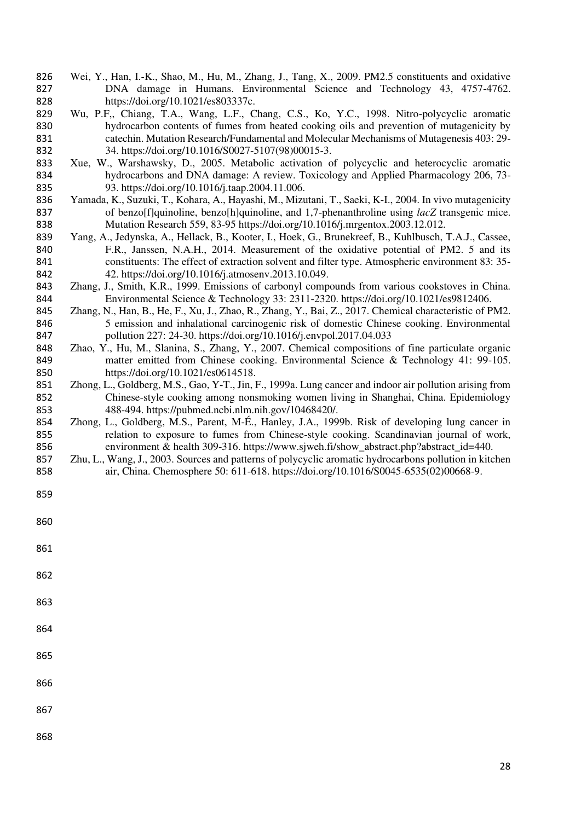- Wei, Y., Han, I.-K., Shao, M., Hu, M., Zhang, J., Tang, X., 2009. PM2.5 constituents and oxidative DNA damage in Humans. Environmental Science and Technology 43, 4757-4762. https://doi.org/10.1021/es803337c.
- Wu, P.F,, Chiang, T.A., Wang, L.F., Chang, C.S., Ko, Y.C., 1998. Nitro-polycyclic aromatic hydrocarbon contents of fumes from heated cooking oils and prevention of mutagenicity by catechin. Mutation Research/Fundamental and Molecular Mechanisms of Mutagenesis 403: 29- 34. https://doi.org/10.1016/S0027-5107(98)00015-3.
- Xue, W., Warshawsky, D., 2005. Metabolic activation of polycyclic and heterocyclic aromatic hydrocarbons and DNA damage: A review. Toxicology and Applied Pharmacology 206, 73- 93. https://doi.org/10.1016/j.taap.2004.11.006.
- Yamada, K., Suzuki, T., Kohara, A., Hayashi, M., Mizutani, T., Saeki, K-I., 2004. In vivo mutagenicity 837 of benzo[f]quinoline, benzo[h]quinoline, and 1,7-phenanthroline using *lacZ* transgenic mice. Mutation Research 559, 83-95 https://doi.org/10.1016/j.mrgentox.2003.12.012.
- Yang, A., Jedynska, A., Hellack, B., Kooter, I., Hoek, G., Brunekreef, B., Kuhlbusch, T.A.J., Cassee, F.R., Janssen, N.A.H., 2014. Measurement of the oxidative potential of PM2. 5 and its constituents: The effect of extraction solvent and filter type. Atmospheric environment 83: 35- 42. https://doi.org/10.1016/j.atmosenv.2013.10.049.
- Zhang, J., Smith, K.R., 1999. Emissions of carbonyl compounds from various cookstoves in China. Environmental Science & Technology 33: 2311-2320. https://doi.org/10.1021/es9812406.
- Zhang, N., Han, B., He, F., Xu, J., Zhao, R., Zhang, Y., Bai, Z., 2017. Chemical characteristic of PM2. 5 emission and inhalational carcinogenic risk of domestic Chinese cooking. Environmental pollution 227: 24-30. https://doi.org/10.1016/j.envpol.2017.04.033
- Zhao, Y., Hu, M., Slanina, S., Zhang, Y., 2007. Chemical compositions of fine particulate organic matter emitted from Chinese cooking. Environmental Science & Technology 41: 99-105. https://doi.org/10.1021/es0614518.
- Zhong, L., Goldberg, M.S., Gao, Y-T., Jin, F., 1999a. Lung cancer and indoor air pollution arising from Chinese-style cooking among nonsmoking women living in Shanghai, China. Epidemiology 488-494. https://pubmed.ncbi.nlm.nih.gov/10468420/.
- Zhong, L., Goldberg, M.S., Parent, M-É., Hanley, J.A., 1999b. Risk of developing lung cancer in relation to exposure to fumes from Chinese-style cooking. Scandinavian journal of work, 856 environment & health 309-316. https://www.sjweh.fi/show\_abstract.php?abstract\_id=440.
- Zhu, L., Wang, J., 2003. Sources and patterns of polycyclic aromatic hydrocarbons pollution in kitchen air, China. Chemosphere 50: 611-618. https://doi.org/10.1016/S0045-6535(02)00668-9.
- 

- 
-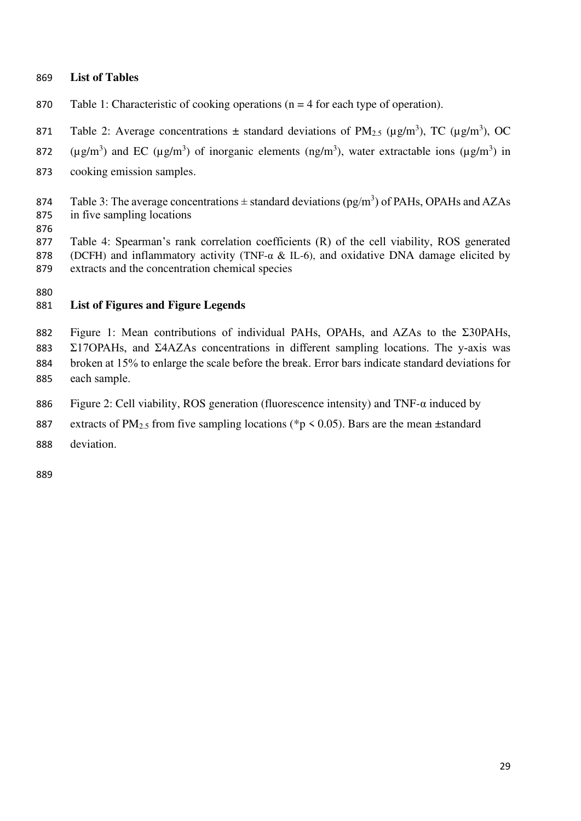## **List of Tables**

- Table 1: Characteristic of cooking operations (n = 4 for each type of operation).
- 871 Table 2: Average concentrations  $\pm$  standard deviations of PM<sub>2.5</sub> ( $\mu$ g/m<sup>3</sup>), TC ( $\mu$ g/m<sup>3</sup>), OC
- 872 ( $\mu$ g/m<sup>3</sup>) and EC ( $\mu$ g/m<sup>3</sup>) of inorganic elements (ng/m<sup>3</sup>), water extractable ions ( $\mu$ g/m<sup>3</sup>) in
- cooking emission samples.
- 874 Table 3: The average concentrations  $\pm$  standard deviations (pg/m<sup>3</sup>) of PAHs, OPAHs and AZAs in five sampling locations
- 

 Table 4: Spearman's rank correlation coefficients (R) of the cell viability, ROS generated (DCFH) and inflammatory activity (TNF-α & IL-6), and oxidative DNA damage elicited by extracts and the concentration chemical species

# **List of Figures and Figure Legends**

 Figure 1: Mean contributions of individual PAHs, OPAHs, and AZAs to the Σ30PAHs, Σ17OPAHs, and Σ4AZAs concentrations in different sampling locations. The y-axis was broken at 15% to enlarge the scale before the break. Error bars indicate standard deviations for each sample.

- Figure 2: Cell viability, ROS generation (fluorescence intensity) and TNF-α induced by
- 887 extracts of PM<sub>2.5</sub> from five sampling locations (\*p < 0.05). Bars are the mean  $\pm$ standard
- deviation.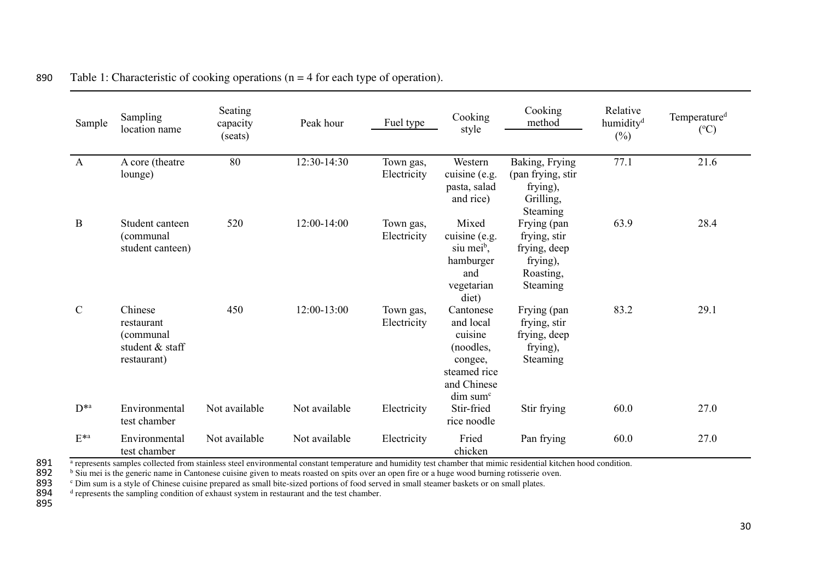| Sample             | Sampling<br>location name                                            | Seating<br>capacity<br>(seats) | Peak hour     | Fuel type                | Cooking<br>style                                                                                                 | Cooking<br>method                                                                | Relative<br>humidity <sup>d</sup><br>$(\%)$ | Temperature <sup>d</sup><br>$({}^{\circ}C)$ |
|--------------------|----------------------------------------------------------------------|--------------------------------|---------------|--------------------------|------------------------------------------------------------------------------------------------------------------|----------------------------------------------------------------------------------|---------------------------------------------|---------------------------------------------|
| $\mathbf{A}$       | A core (theatre<br>lounge)                                           | 80                             | 12:30-14:30   | Town gas,<br>Electricity | Western<br>cuisine (e.g.<br>pasta, salad<br>and rice)                                                            | Baking, Frying<br>(pan frying, stir<br>frying),<br>Grilling,<br>Steaming         | 77.1                                        | 21.6                                        |
| $\mathbf B$        | Student canteen<br>(communal<br>student canteen)                     | 520                            | 12:00-14:00   | Town gas,<br>Electricity | Mixed<br>cuisine (e.g.<br>siu mei <sup>b</sup> ,<br>hamburger<br>and<br>vegetarian<br>diet)                      | Frying (pan<br>frying, stir<br>frying, deep<br>frying),<br>Roasting,<br>Steaming | 63.9                                        | 28.4                                        |
| $\mathcal{C}$      | Chinese<br>restaurant<br>(communal<br>student & staff<br>restaurant) | 450                            | $12:00-13:00$ | Town gas,<br>Electricity | Cantonese<br>and local<br>cuisine<br>(noodles,<br>congee,<br>steamed rice<br>and Chinese<br>dim sum <sup>c</sup> | Frying (pan<br>frying, stir<br>frying, deep<br>frying),<br>Steaming              | 83.2                                        | 29.1                                        |
| $D^*$ <sup>a</sup> | Environmental<br>test chamber                                        | Not available                  | Not available | Electricity              | Stir-fried<br>rice noodle                                                                                        | Stir frying                                                                      | 60.0                                        | 27.0                                        |
| $E^{*a}$           | Environmental<br>test chamber                                        | Not available                  | Not available | Electricity              | Fried<br>chicken                                                                                                 | Pan frying                                                                       | 60.0                                        | 27.0                                        |

890 Table 1: Characteristic of cooking operations ( $n = 4$  for each type of operation).

a <sup>a</sup> represents samples collected from stainless steel environmental constant temperature and humidity test chamber that mimic residential kitchen hood condition.<br>892 b Siu mei is the generic name in Cantonese cuisine giv

<sup>b</sup> Siu mei is the generic name in Cantonese cuisine given to meats roasted on spits over an open fire or a huge wood burning rotisserie oven.<br>893 <sup>c</sup> Dim sum is a style of Chinese cuisine prepared as small bite-sized port <sup>c</sup> Dim sum is a style of Chinese cuisine prepared as small bite-sized portions of food served in small steamer baskets or on small plates.

 $d$  represents the sampling condition of exhaust system in restaurant and the test chamber.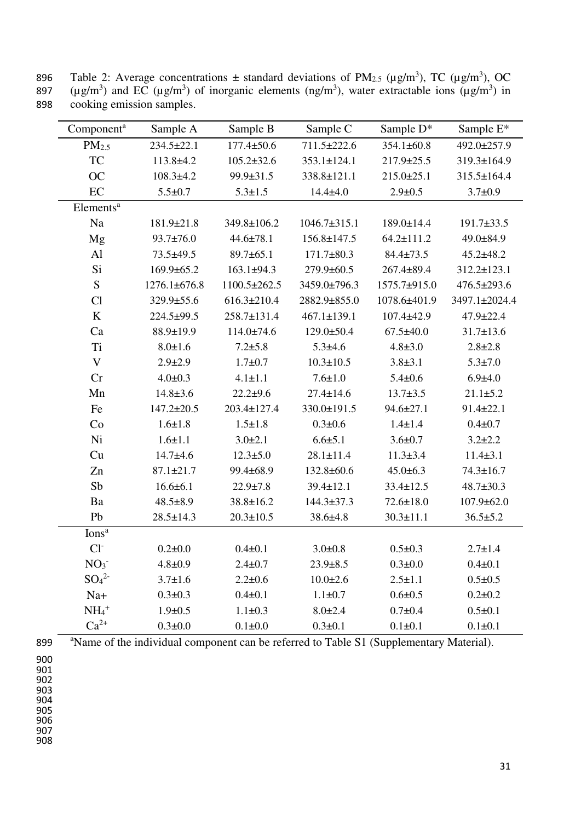896 Table 2: Average concentrations  $\pm$  standard deviations of PM<sub>2.5</sub> ( $\mu$ g/m<sup>3</sup>), TC ( $\mu$ g/m<sup>3</sup>), OC 897 ( $\mu$ g/m<sup>3</sup>) and EC ( $\mu$ g/m<sup>3</sup>) of inorganic elements (ng/m<sup>3</sup>), water extractable ions ( $\mu$ g/m<sup>3</sup>) in 898 cooking emission samples.

| Component <sup>a</sup>       | Sample A         | Sample B          | Sample C           | Sample D*        | Sample E*       |
|------------------------------|------------------|-------------------|--------------------|------------------|-----------------|
| PM <sub>2.5</sub>            | $234.5 \pm 22.1$ | $177.4 \pm 50.6$  | 711.5±222.6        | 354.1±60.8       | 492.0±257.9     |
| <b>TC</b>                    | $113.8 + 4.2$    | $105.2 \pm 32.6$  | $353.1 \pm 124.1$  | 217.9±25.5       | 319.3±164.9     |
| <b>OC</b>                    | $108.3 \pm 4.2$  | 99.9±31.5         | 338.8±121.1        | $215.0 \pm 25.1$ | 315.5±164.4     |
| EC                           | $5.5 \pm 0.7$    | $5.3 \pm 1.5$     | $14.4 + 4.0$       | $2.9 \pm 0.5$    | $3.7 \pm 0.9$   |
| Elements <sup>a</sup>        |                  |                   |                    |                  |                 |
| Na                           | 181.9±21.8       | 349.8±106.2       | $1046.7 \pm 315.1$ | 189.0±14.4       | 191.7±33.5      |
| Mg                           | $93.7 \pm 76.0$  | $44.6 \pm 78.1$   | $156.8 \pm 147.5$  | $64.2 \pm 111.2$ | 49.0±84.9       |
| Al                           | 73.5±49.5        | $89.7 \pm 65.1$   | $171.7 \pm 80.3$   | $84.4 \pm 73.5$  | $45.2 \pm 48.2$ |
| Si                           | 169.9±65.2       | $163.1 \pm 94.3$  | 279.9±60.5         | 267.4±89.4       | 312.2±123.1     |
| S                            | 1276.1±676.8     | 1100.5±262.5      | 3459.0±796.3       | 1575.7±915.0     | 476.5±293.6     |
| Cl                           | 329.9±55.6       | $616.3 \pm 210.4$ | 2882.9±855.0       | 1078.6±401.9     | 3497.1±2024.4   |
| $\rm K$                      | 224.5±99.5       | 258.7±131.4       | $467.1 \pm 139.1$  | $107.4 + 42.9$   | 47.9±22.4       |
| Ca                           | 88.9±19.9        | $114.0 \pm 74.6$  | $129.0 \pm 50.4$   | $67.5 \pm 40.0$  | $31.7 \pm 13.6$ |
| Ti                           | $8.0 \pm 1.6$    | $7.2 + 5.8$       | $5.3 \pm 4.6$      | $4.8 \pm 3.0$    | $2.8 + 2.8$     |
| $\mathbf V$                  | $2.9 \pm 2.9$    | $1.7 + 0.7$       | $10.3 \pm 10.5$    | $3.8 + 3.1$      | $5.3 \pm 7.0$   |
| Cr                           | $4.0 \pm 0.3$    | $4.1 \pm 1.1$     | $7.6 \pm 1.0$      | $5.4 \pm 0.6$    | $6.9{\pm}4.0$   |
| Mn                           | $14.8 \pm 3.6$   | $22.2 + 9.6$      | $27.4 \pm 14.6$    | $13.7 \pm 3.5$   | $21.1 \pm 5.2$  |
| Fe                           | $147.2 \pm 20.5$ | 203.4±127.4       | 330.0±191.5        | $94.6 \pm 27.1$  | $91.4 \pm 22.1$ |
| Co                           | $1.6 \pm 1.8$    | $1.5 \pm 1.8$     | $0.3 + 0.6$        | $1.4 \pm 1.4$    | $0.4 + 0.7$     |
| Ni                           | $1.6 \pm 1.1$    | $3.0 \pm 2.1$     | $6.6{\pm}5.1$      | $3.6 \pm 0.7$    | $3.2 \pm 2.2$   |
| Cu                           | $14.7 + 4.6$     | $12.3 \pm 5.0$    | $28.1 \pm 11.4$    | $11.3 \pm 3.4$   | $11.4 \pm 3.1$  |
| Zn                           | $87.1 \pm 21.7$  | 99.4±68.9         | 132.8±60.6         | $45.0 \pm 6.3$   | $74.3 \pm 16.7$ |
| Sb                           | $16.6 \pm 6.1$   | $22.9 \pm 7.8$    | $39.4 \pm 12.1$    | $33.4 \pm 12.5$  | $48.7 \pm 30.3$ |
| Ba                           | $48.5 \pm 8.9$   | $38.8 \pm 16.2$   | 144.3±37.3         | $72.6 \pm 18.0$  | 107.9±62.0      |
| Pb                           | $28.5 \pm 14.3$  | $20.3 \pm 10.5$   | $38.6 \pm 4.8$     | $30.3 \pm 11.1$  | $36.5 \pm 5.2$  |
| Ions <sup>a</sup>            |                  |                   |                    |                  |                 |
| $Cl^{-}$                     | $0.2 + 0.0$      | $0.4 + 0.1$       | $3.0 \pm 0.8$      | $0.5 \pm 0.3$    | $2.7 \pm 1.4$   |
| NO <sub>3</sub>              | $4.8 \pm 0.9$    | $2.4 \pm 0.7$     | $23.9 \pm 8.5$     | $0.3 \pm 0.0$    | $0.4 \pm 0.1$   |
| SO <sub>4</sub> <sup>2</sup> | $3.7 \pm 1.6$    | $2.2 \pm 0.6$     | $10.0 \pm 2.6$     | $2.5 \pm 1.1$    | $0.5 \pm 0.5$   |
| $Na+$                        | $0.3 + 0.3$      | $0.4 \pm 0.1$     | $1.1 \pm 0.7$      | $0.6 \pm 0.5$    | $0.2 \pm 0.2$   |
| $NH4+$                       | $1.9 \pm 0.5$    | $1.1 \pm 0.3$     | $8.0 \pm 2.4$      | $0.7 \pm 0.4$    | $0.5 \pm 0.1$   |
| $Ca^{2+}$                    | $0.3 + 0.0$      | $0.1 \pm 0.0$     | $0.3 \pm 0.1$      | $0.1 \pm 0.1$    | $0.1 \pm 0.1$   |

899 Americal of the individual component can be referred to Table S1 (Supplementary Material).

900

901 902

903

904

905 906

907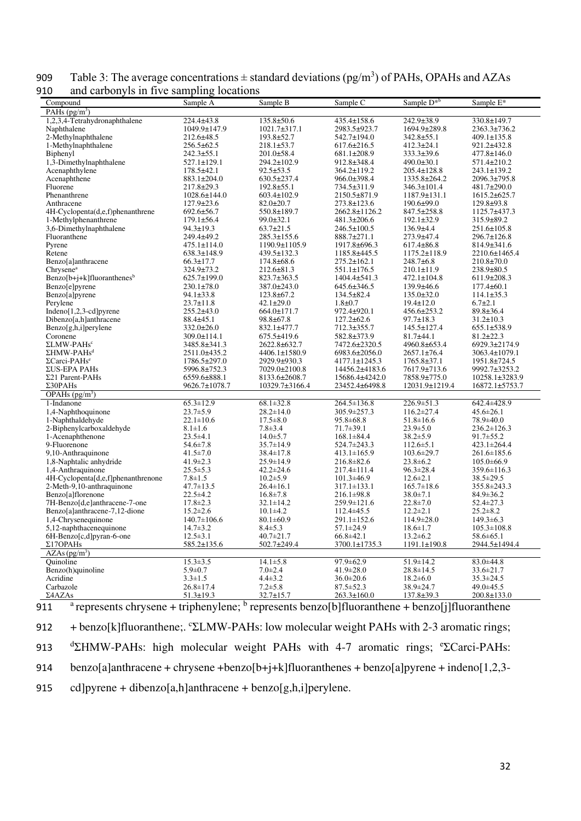| and carbonyis in five sampling locations<br>Compound    | Sample A                        | Sample B                          | Sample C                              | Sample D <sup>*b</sup>            | Sample E*                      |
|---------------------------------------------------------|---------------------------------|-----------------------------------|---------------------------------------|-----------------------------------|--------------------------------|
| PAHs $(pg/m^3)$                                         |                                 |                                   |                                       |                                   |                                |
| 1,2,3,4-Tetrahydronaphthalene                           | 224.4±43.8                      | 135.8±50.6                        | 435.4±158.6                           | 242.9±38.9                        | $330.8 \pm 149.7$              |
| Naphthalene                                             | 1049.9±147.9                    | 1021.7±317.1                      | 2983.5±923.7                          | 1694.9±289.8                      | 2363.3±736.2                   |
| 2-Methylnaphthalene                                     | $212.6 \pm 48.5$                | 193.8±52.7                        | 542.7±194.0                           | $342.8 \pm 55.1$                  | $409.1 \pm 135.8$              |
| 1-Methylnaphthalene                                     | $256.5 \pm 62.5$                | $218.1 \pm 53.7$                  | $617.6 \pm 216.5$                     | $412.3 \pm 24.1$                  | 921.2±432.8                    |
| Biphenyl                                                | 242.3±55.1                      | 201.0±58.4                        | 681.1±208.9                           | $333.3 \pm 39.6$                  | 477.8±146.0                    |
| $1,3$ -Dimethylnaphthalene                              | $527.1 \pm 129.1$               | 294.2±102.9                       | 912.8±348.4                           | $490.0 \pm 30.1$                  | 571.4±210.2                    |
| Acenaphthylene                                          | $178.5 \pm 42.1$                | $92.5 \pm 53.5$                   | 364.2±119.2                           | $205.4 \pm 128.8$                 | $243.1 \pm 139.2$              |
| Acenaphthene                                            | 883.1±204.0                     | 630.5±237.4                       | 966.0±398.4                           | 1335.8±264.2                      | 2096.3±795.8                   |
| Fluorene                                                | 217.8±29.3                      | $192.8 \pm 55.1$                  | 734.5±311.9                           | $346.3 \pm 101.4$                 | 481.7±290.0                    |
| Phenanthrene                                            | $1028.6 \pm 144.0$              | $603.4 \pm 102.9$                 | 2150.5±871.9                          | $1187.9 \pm 131.1$                | 1615.2±625.7                   |
| Anthracene                                              | 127.9±23.6                      | $82.0 \pm 20.7$                   | 273.8±123.6                           | $190.6 \pm 99.0$                  | 129.8±93.8                     |
| 4H-Cyclopenta(d,e,f)phenanthrene                        | $692.6 \pm 56.7$                | 550.8±189.7                       | 2662.8±1126.2                         | $847.5 \pm 258.8$                 | 1125.7±437.3                   |
| 1-Methylphenanthrene                                    | $179.1 \pm 56.4$                | $99.0 \pm 32.1$                   | 481.3±206.6                           | $192.1 \pm 32.9$                  | $315.9 \pm 89.2$               |
| 3,6-Dimethylnaphthalene                                 | $94.3 \pm 19.3$                 | $63.7 \pm 21.5$                   | 246.5±100.5                           | $136.9 \pm 4.4$                   | $251.6 \pm 105.8$              |
| Fluoranthene                                            | 249.4±49.2                      | 285.3±155.6                       | 888.7±271.1                           | 273.9±47.4                        | $296.7 \pm 126.8$              |
| Pyrene                                                  | $475.1 \pm 114.0$               | 1190.9±1105.9                     | 1917.8±696.3                          | $617.4 \pm 86.8$                  | 814.9±341.6                    |
| Retene                                                  | $638.3 \pm 148.9$               | 439.5±132.3                       | 1185.8±445.5                          | $1175.2 \pm 118.9$                | 2210.6±1465.4                  |
| Benzo[a]anthracene                                      | $66.3 \pm 17.7$                 | $174.8 \pm 68.6$                  | $275.2 \pm 162.1$                     | $248.7\pm 6.8$                    | $210.8 \pm 70.0$               |
| Chrysene <sup>a</sup>                                   | 324.9±73.2                      | $212.6 \pm 81.3$                  | 551.1±176.5                           | $210.1 \pm 11.9$                  | $238.9 \pm 80.5$               |
| $Benzo[b+j+k]$ fluoranthenes <sup>b</sup>               | $625.7 \pm 199.0$               | 823.7±363.5                       | $1404.4 \pm 541.3$                    | $472.1 \pm 104.8$                 | $611.9 \pm 208.3$              |
| Benzo[e]pyrene                                          | $230.1 \pm 78.0$                | 387.0±243.0                       | $645.6 \pm 346.5$                     | $139.9\pm46.6$                    | $177.4 \pm 60.1$               |
| Benzo[a]pyrene                                          | $94.1 \pm 33.8$                 | $123.8 + 67.2$                    | $134.5 \pm 82.4$                      | $135.0 \pm 32.0$                  | $114.1 \pm 35.3$               |
| Perylene                                                | $23.7 \pm 11.8$                 | $42.1 \pm 29.0$                   | $1.8 + 0.7$                           | $19.4 \pm 12.0$                   | $6.7 \pm 2.1$                  |
| Indeno $[1,2,3$ -cd]pyrene                              | $255.2\pm 43.0$                 | $664.0 \pm 171.7$                 | 972.4±920.1                           | $456.6 \pm 253.2$                 | $89.8 \pm 36.4$                |
| Dibenzo[a,h]anthracene                                  | $88.4 \pm 45.1$                 | 98.8±67.8                         | $127.2 \pm 62.6$                      | $97.7 \pm 18.3$                   | $31.2 \pm 10.3$                |
| Benzo[g,h,i]perylene                                    | $332.0 \pm 26.0$                | 832.1±477.7                       | 712.3±355.7                           | $145.5 \pm 127.4$                 | 655.1±538.9                    |
| Coronene                                                | $309.0 \pm 114.1$               | 675.5±419.6                       | 582.8±373.9                           | $81.7 + 44.1$                     | $81.2 \pm 22.3$                |
| ΣLMW-PAHs <sup>c</sup>                                  | 3485.8±341.3                    | 2622.8±632.7                      | 7472.6±2320.5                         | 4960.8±653.4                      | 6929.3±2174.9                  |
| $\Sigma$ HMW-PAHs <sup>d</sup>                          | 2511.0±435.2                    | 4406.1±1580.9                     | 6983.6±2056.0                         | $2657.1 \pm 76.4$                 | $3063.4 \pm 1079.1$            |
| $\Sigma$ Carci-PAHs <sup>e</sup>                        | 1786.5±297.0                    | 2929.9±930.3                      | $4177.1 \pm 1245.3$                   | $1765.8 \pm 37.1$                 | 1951.8±724.5                   |
| ΣUS-EPA PAHs                                            | 5996.8±752.3                    | 7029.0±2100.8                     | 14456.2±4183.6                        | 7617.9±713.6                      | 9992.7±3253.2                  |
| $\Sigma$ 21 Parent-PAHs                                 | 6559.6±888.1                    | 8133.6±2608.7                     | 15686.4±4242.0                        | 7858.9±775.0                      | 10258.1±3283.9                 |
| $\Sigma$ 30PAHs                                         | 9626.7±1078.7                   | 10329.7±3166.4                    | 23452.4±6498.8                        | 12031.9±1219.4                    | 16872.1±5753.7                 |
| OPAHs $(pg/m3)$                                         |                                 |                                   |                                       |                                   |                                |
| 1-Indanone                                              | $65.3 \pm 12.9$                 | $68.1 \pm 32.8$                   | 264.5±136.8                           | 226.9±51.3                        | 642.4±428.9                    |
| 1,4-Naphthoquinone                                      | $23.7 \pm 5.9$                  | $28.2 \pm 14.0$                   | 305.9±257.3                           | $116.2 \pm 27.4$                  | $45.6 \pm 26.1$                |
| 1-Naphthaldehyde                                        | $22.1 \pm 10.6$                 | $17.5 \pm 8.0$                    | 95.8±68.8                             | $51.8 \pm 16.6$                   | 78.9±40.0                      |
| 2-Biphenylcarboxaldehyde                                | $8.1 \pm 1.6$                   | $7.8 \pm 3.4$                     | $71.7 \pm 39.1$                       | $23.9 \pm 5.0$                    | $236.2 \pm 126.3$              |
| 1-Acenaphthenone                                        | $23.5 \pm 4.1$                  | $14.0 \pm 5.7$                    | $168.1 \pm 84.4$                      | $38.2 \pm 5.9$                    | $91.7 \pm 55.2$                |
| 9-Fluorenone                                            | $54.6 \pm 7.8$                  | $35.7 \pm 14.9$                   | 524.7±243.3                           | $112.6 \pm 5.1$                   | $423.1 \pm 264.4$              |
| 9,10-Anthraquinone                                      | $41.5 \pm 7.0$                  | $38.4 \pm 17.8$                   | $413.1 \pm 165.9$                     | $103.6 \pm 29.7$                  | $261.6 \pm 185.6$              |
| 1,8-Naphtalic anhydride                                 | $41.9 \pm 2.3$                  | 25.9±14.9                         | $216.8 \pm 82.6$                      | $23.8 \pm 6.2$<br>$96.3 \pm 28.4$ | $105.0 \pm 66.9$               |
| 1,4-Anthraquinone<br>4H-Cyclopenta[d,e,f]phenanthrenone | $25.5 \pm 5.3$<br>$7.8 \pm 1.5$ | $42.2 \pm 24.6$<br>$10.2 \pm 5.9$ | $217.4 \pm 111.4$<br>$101.3 \pm 46.9$ | $12.6 \pm 2.1$                    | $359.6 \pm 116.3$<br>38.5±29.5 |
| 2-Meth-9,10-anthraquinone                               | $47.7 \pm 13.5$                 | 26.4±16.1                         | $317.1 \pm 133.1$                     | $165.7 \pm 18.6$                  |                                |
| Benzo[a]florenone                                       | $22.5 \pm 4.2$                  | $16.8 \pm 7.8$                    | $216.1 \pm 98.8$                      | $38.0 \pm 7.1$                    | 355.8±243.3<br>$84.9 \pm 36.2$ |
| 7H-Benzo[d,e]anthracene-7-one                           | $17.8 \pm 2.3$                  | $32.1 \pm 14.2$                   | $259.9 \pm 121.6$                     | $22.8 \pm 7.0$                    | 52.4±27.3                      |
| Benzo[a]anthracene-7,12-dione                           | $15.2 \pm 2.6$                  | $10.1 \pm 4.2$                    | $112.4 \pm 45.5$                      | $12.2 \pm 2.1$                    | $25.2 \pm 8.2$                 |
| 1,4-Chrysenequinone                                     | $140.7 \pm 106.6$               | $80.1 \pm 60.9$                   | $291.1 \pm 152.6$                     | $114.9 \pm 28.0$                  | $149.3 \pm 6.3$                |
| 5,12-naphthacenequinone                                 | $14.7 \pm 3.2$                  | $8.4 \pm 5.3$                     | 57.1±24.9                             | $18.6 \pm 1.7$                    | $105.3 \pm 108.8$              |
| 6H-Benzo[c,d]pyran-6-one                                | $12.5 \pm 3.1$                  | $40.7 \pm 21.7$                   | $66.8{\pm}42.1$                       | $13.2 \pm 6.2$                    | $58.6 \pm 65.1$                |
| $\Sigma17$ OPAHs                                        | 585.2±135.6                     | 502.7±249.4                       | 3700.1±1735.3                         | 1191.1±190.8                      | 2944.5±1494.4                  |
| AZAs(pg/m <sup>3</sup> )                                |                                 |                                   |                                       |                                   |                                |
| Ouinoline                                               | $15.3 \pm 3.5$                  | $14.1 \pm 5.8$                    | $97.9 \pm 62.9$                       | $51.9 \pm 14.2$                   | $83.0 \pm 44.8$                |
| Benzo(h)quinoline                                       | $5.9 \pm 0.7$                   | $7.0 \pm 2.4$                     | 41.9±28.0                             | $28.8 \pm 14.5$                   | $33.6 \pm 21.7$                |
| Acridine                                                | $3.3 \pm 1.5$                   | $4.4 \pm 3.2$                     | $36.0 \pm 20.6$                       | $18.2 \pm 6.0$                    | $35.3 \pm 24.5$                |
| Carbazole                                               | $26.8 \pm 17.4$                 | $7.2 \pm 5.8$                     | $87.5 \pm 52.3$                       | 38.9±24.7                         | $49.0 \pm 45.5$                |
| Σ4AZAs                                                  | $51.3 \pm 19.3$                 | $32.7 \pm 15.7$                   | $263.3 \pm 160.0$                     | $137.8 \pm 39.3$                  | $200.8 \pm 133.0$              |
|                                                         |                                 |                                   |                                       |                                   |                                |

909 Table 3: The average concentrations  $\pm$  standard deviations (pg/m<sup>3</sup>) of PAHs, OPAHs and AZAs 910 and carbonyls in five sampling locations

911 <sup>a</sup> represents chrysene + triphenylene; <sup>b</sup> represents benzo[b]fluoranthene + benzo[j]fluoranthene 912 + benzo[k]fluoranthene;.  $C\Sigma LMW-PAHs$ : low molecular weight PAHs with 2-3 aromatic rings; 913 <sup>d</sup>ΣHMW-PAHs: high molecular weight PAHs with 4-7 aromatic rings; <sup>e</sup>ΣCarci-PAHs: 914 benzo[a]anthracene + chrysene +benzo[b+j+k]fluoranthenes + benzo[a]pyrene + indeno[1,2,3- 915 cd]pyrene + dibenzo[a,h]anthracene + benzo[g,h,i]perylene.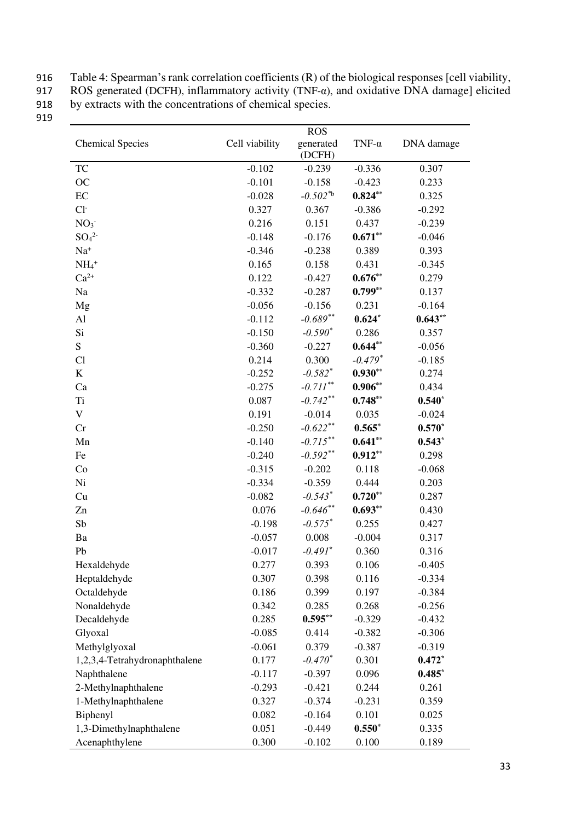916 Table 4: Spearman's rank correlation coefficients (R) of the biological responses [cell viability,

917 ROS generated (DCFH), inflammatory activity (TNF- $\alpha$ ), and oxidative DNA damage] elicited

918 by extracts with the concentrations of chemical species. 919

|                               |                | <b>ROS</b>            |               |            |  |
|-------------------------------|----------------|-----------------------|---------------|------------|--|
| <b>Chemical Species</b>       | Cell viability | generated<br>(DCFH)   | TNF- $\alpha$ | DNA damage |  |
| TC                            | $-0.102$       | $-0.239$              | $-0.336$      | 0.307      |  |
| OC                            | $-0.101$       | $-0.158$              | $-0.423$      | 0.233      |  |
| $\rm EC$                      | $-0.028$       | $-0.502*b$            | $0.824**$     | 0.325      |  |
| $Cl-$                         | 0.327          | 0.367                 | $-0.386$      | $-0.292$   |  |
| NO <sub>3</sub>               | 0.216          | 0.151                 | 0.437         | $-0.239$   |  |
| SO <sub>4</sub> <sup>2</sup>  | $-0.148$       | $-0.176$              | $0.671**$     | $-0.046$   |  |
| $Na+$                         | $-0.346$       | $-0.238$              | 0.389         | 0.393      |  |
| $NH_4$ <sup>+</sup>           | 0.165          | 0.158                 | 0.431         | $-0.345$   |  |
| $Ca^{2+}$                     | 0.122          | $-0.427$              | $0.676**$     | 0.279      |  |
| Na                            | $-0.332$       | $-0.287$              | $0.799**$     | 0.137      |  |
| Mg                            | $-0.056$       | $-0.156$              | 0.231         | $-0.164$   |  |
| Al                            | $-0.112$       | $-0.689**$            | $0.624*$      | $0.643**$  |  |
| Si                            | $-0.150$       | $-0.590^*$            | 0.286         | 0.357      |  |
| ${\bf S}$                     | $-0.360$       | $-0.227$              | $0.644**$     | $-0.056$   |  |
| Cl                            | 0.214          | 0.300                 | $-0.479*$     | $-0.185$   |  |
| $\bf K$                       | $-0.252$       | $-0.582$ <sup>*</sup> | $0.930**$     | 0.274      |  |
| Ca                            | $-0.275$       | $-0.711$ **           | $0.906**$     | 0.434      |  |
| <b>Ti</b>                     | 0.087          | $-0.742**$            | $0.748**$     | $0.540*$   |  |
| $\mathbf V$                   | 0.191          | $-0.014$              | 0.035         | $-0.024$   |  |
| Cr                            | $-0.250$       | $-0.622**$            | $0.565*$      | $0.570*$   |  |
| Mn                            | $-0.140$       | $-0.715***$           | $0.641**$     | $0.543*$   |  |
| Fe                            | $-0.240$       | $-0.592**$            | $0.912**$     | 0.298      |  |
| Co                            | $-0.315$       | $-0.202$              | 0.118         | $-0.068$   |  |
| Ni                            | $-0.334$       | $-0.359$              | 0.444         | 0.203      |  |
| Cu                            | $-0.082$       | $-0.543$ <sup>*</sup> | $0.720**$     | 0.287      |  |
| Zn                            | 0.076          | $-0.646**$            | $0.693**$     | 0.430      |  |
| Sb                            | $-0.198$       | $-0.575$ <sup>*</sup> | 0.255         | 0.427      |  |
| Ba                            | $-0.057$       | 0.008                 | $-0.004$      | 0.317      |  |
| Pb                            | $-0.017$       | $-0.491*$             | 0.360         | 0.316      |  |
| Hexaldehyde                   | 0.277          | 0.393                 | 0.106         | $-0.405$   |  |
| Heptaldehyde                  | 0.307          | 0.398                 | 0.116         | $-0.334$   |  |
| Octaldehyde                   | 0.186          | 0.399                 | 0.197         | $-0.384$   |  |
| Nonaldehyde                   | 0.342          | 0.285                 | 0.268         | $-0.256$   |  |
| Decaldehyde                   | 0.285          | $0.595***$            | $-0.329$      | $-0.432$   |  |
| Glyoxal                       | $-0.085$       | 0.414                 | $-0.382$      | $-0.306$   |  |
| Methylglyoxal                 | $-0.061$       | 0.379                 | $-0.387$      | $-0.319$   |  |
| 1,2,3,4-Tetrahydronaphthalene | 0.177          | $-0.470*$             | 0.301         | $0.472*$   |  |
| Naphthalene                   | $-0.117$       | $-0.397$              | 0.096         | $0.485*$   |  |
| 2-Methylnaphthalene           | $-0.293$       | $-0.421$              | 0.244         | 0.261      |  |
| 1-Methylnaphthalene           | 0.327          | $-0.374$              | $-0.231$      | 0.359      |  |
| Biphenyl                      | 0.082          | $-0.164$              | 0.101         | 0.025      |  |
| 1,3-Dimethylnaphthalene       | 0.051          | $-0.449$              | $0.550*$      | 0.335      |  |
| Acenaphthylene                | 0.300          | $-0.102$              | 0.100         | 0.189      |  |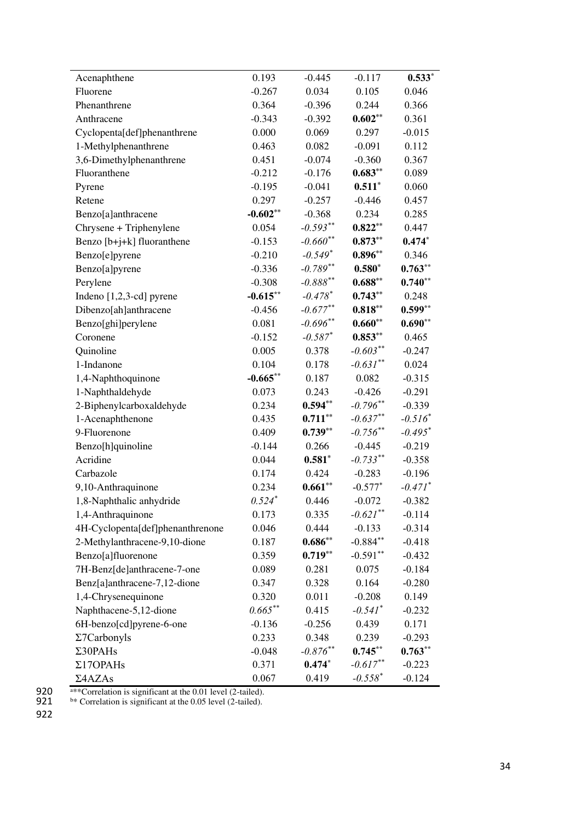| Acenaphthene                     | 0.193       | $-0.445$               | $-0.117$              | $0.533*$              |
|----------------------------------|-------------|------------------------|-----------------------|-----------------------|
| Fluorene                         | $-0.267$    | 0.034                  | 0.105                 | 0.046                 |
| Phenanthrene                     | 0.364       | $-0.396$               | 0.244                 | 0.366                 |
| Anthracene                       | $-0.343$    | $-0.392$               | $0.602**$             | 0.361                 |
| Cyclopenta[def]phenanthrene      | 0.000       | 0.069                  | 0.297                 | $-0.015$              |
| 1-Methylphenanthrene             | 0.463       | 0.082                  | $-0.091$              | 0.112                 |
| 3,6-Dimethylphenanthrene         | 0.451       | $-0.074$               | $-0.360$              | 0.367                 |
| Fluoranthene                     | $-0.212$    | $-0.176$               | $0.683**$             | 0.089                 |
| Pyrene                           | $-0.195$    | $-0.041$               | $0.511*$              | 0.060                 |
| Retene                           | 0.297       | $-0.257$               | $-0.446$              | 0.457                 |
| Benzo[a]anthracene               | $-0.602**$  | $-0.368$               | 0.234                 | 0.285                 |
| Chrysene + Triphenylene          | 0.054       | $-0.593**$             | $0.822**$             | 0.447                 |
| Benzo [b+j+k] fluoranthene       | $-0.153$    | $-0.660**$             | $0.873**$             | $0.474*$              |
| Benzo[e]pyrene                   | $-0.210$    | $-0.549*$              | $0.896**$             | 0.346                 |
| Benzo[a]pyrene                   | $-0.336$    | $-0.789**$             | $0.580*$              | $0.763**$             |
| Perylene                         | $-0.308$    | $-0.888$ <sup>**</sup> | $0.688**$             | $0.740**$             |
| Indeno [1,2,3-cd] pyrene         | $-0.615***$ | $-0.478$ <sup>*</sup>  | $0.743**$             | 0.248                 |
| Dibenzo[ah]anthracene            | $-0.456$    | $-0.677**$             | $0.818**$             | $0.599**$             |
| Benzo[ghi]perylene               | 0.081       | $-0.696**$             | $0.660**$             | $0.690**$             |
| Coronene                         | $-0.152$    | $-0.587$ <sup>*</sup>  | $0.853**$             | 0.465                 |
| Quinoline                        | 0.005       | 0.378                  | $-0.603**$            | $-0.247$              |
| 1-Indanone                       | 0.104       | 0.178                  | $-0.631$ **           | 0.024                 |
| 1,4-Naphthoquinone               | $-0.665***$ | 0.187                  | 0.082                 | $-0.315$              |
| 1-Naphthaldehyde                 | 0.073       | 0.243                  | $-0.426$              | $-0.291$              |
| 2-Biphenylcarboxaldehyde         | 0.234       | $0.594**$              | $-0.796**$            | $-0.339$              |
| 1-Acenaphthenone                 | 0.435       | $0.711***$             | $-0.637**$            | $-0.516^*$            |
| 9-Fluorenone                     | 0.409       | $0.739**$              | $-0.756$ **           | $-0.495*$             |
| Benzo[h]quinoline                | $-0.144$    | 0.266                  | $-0.445$              | $-0.219$              |
| Acridine                         | 0.044       | $0.581*$               | $-0.733***$           | $-0.358$              |
| Carbazole                        | 0.174       | 0.424                  | $-0.283$              | $-0.196$              |
| 9,10-Anthraquinone               | 0.234       | $0.661**$              | $-0.577*$             | $-0.471$ <sup>*</sup> |
| 1,8-Naphthalic anhydride         | $0.524*$    | 0.446                  | $-0.072$              | $-0.382$              |
| 1,4-Anthraquinone                | 0.173       | 0.335                  | $-0.621$ **           | $-0.114$              |
| 4H-Cyclopenta[def]phenanthrenone | 0.046       | 0.444                  | $-0.133$              | $-0.314$              |
| 2-Methylanthracene-9,10-dione    | 0.187       | $0.686**$              | $-0.884**$            | $-0.418$              |
| Benzo[a]fluorenone               | 0.359       | $0.719**$              | $-0.591**$            | $-0.432$              |
| 7H-Benz[de]anthracene-7-one      | 0.089       | 0.281                  | 0.075                 | $-0.184$              |
| Benz[a]anthracene-7,12-dione     | 0.347       | 0.328                  | 0.164                 | $-0.280$              |
| 1,4-Chrysenequinone              | 0.320       | 0.011                  | $-0.208$              | 0.149                 |
| Naphthacene-5,12-dione           | $0.665***$  | 0.415                  | $-0.541$ <sup>*</sup> | $-0.232$              |
| 6H-benzo[cd]pyrene-6-one         | $-0.136$    | $-0.256$               | 0.439                 | 0.171                 |
| $\Sigma$ 7Carbonyls              | 0.233       | 0.348                  | 0.239                 | $-0.293$              |
| $\Sigma$ 30PAHs                  | $-0.048$    | $-0.876$ **            | $0.745**$             | $0.763**$             |
| $\Sigma17$ OPAHs                 | 0.371       | $0.474*$               | $-0.617**$            | $-0.223$              |
| Σ4AZAs                           | 0.067       | 0.419                  | $-0.558*$             | $-0.124$              |

920  $\overline{\text{a}^*}$  Correlation is significant at the 0.01 level (2-tailed). 920<br>921<br>922

921  $\frac{64}{x}$  Correlation is significant at the 0.05 level (2-tailed).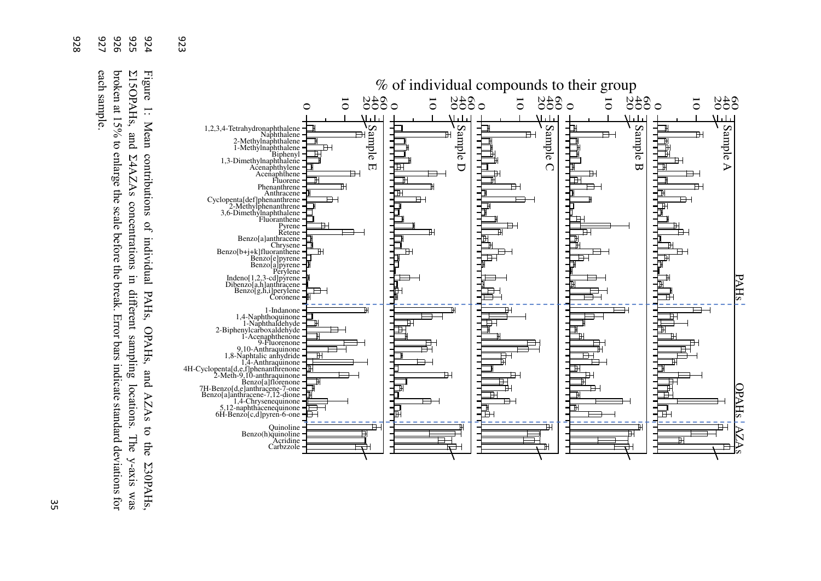

526 യ  $54$  923

broken at 15% to enlarge the scale before the break. Error bars indicate standard deviations for 926 Σ15OPAHs, and Σ4AZAs concentrations in different sampling locations. The y-axis was 925 Figure 1: Mean contributions of individual PAHs, OPAHs, and AZAs to the Σ30PAHs, 924 Figure each sample broken at 15% to enlarge the scale before the break. Error bars indicate standard deviations for each sample. Z15OPAHs, and  $\overline{\cdot}$ Mean E4AZAs concentrations in different sampling locations. contributions of individual PAHs, OPAHs, and AZAs  $\delta$ The y-axis was the Z30PAHs,

926<br>929